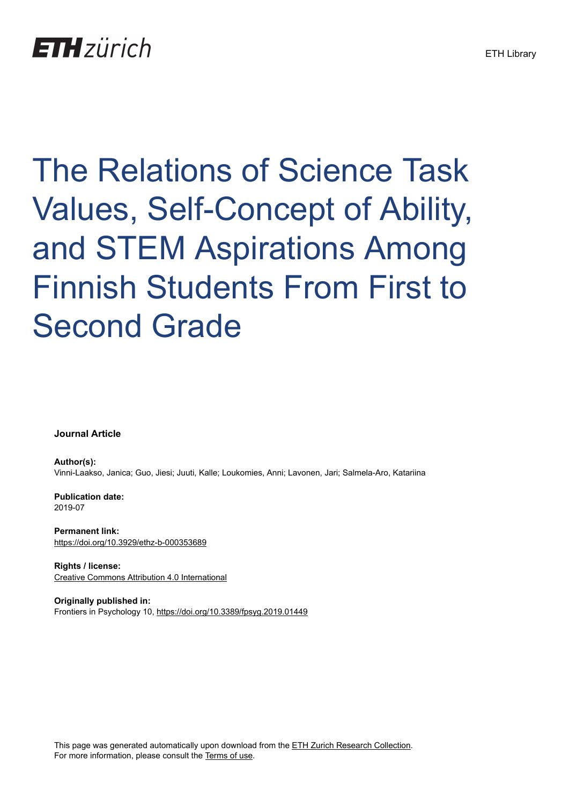The Relations of Science Task Values, Self-Concept of Ability, and STEM Aspirations Among Finnish Students From First to Second Grade

**Journal Article**

**Author(s):** Vinni-Laakso, Janica; Guo, Jiesi; Juuti, Kalle; Loukomies, Anni; Lavonen, Jari; Salmela-Aro, Katariina

**Publication date:** 2019-07

**Permanent link:** <https://doi.org/10.3929/ethz-b-000353689>

**Rights / license:** [Creative Commons Attribution 4.0 International](http://creativecommons.org/licenses/by/4.0/)

**Originally published in:** Frontiers in Psychology 10, <https://doi.org/10.3389/fpsyg.2019.01449>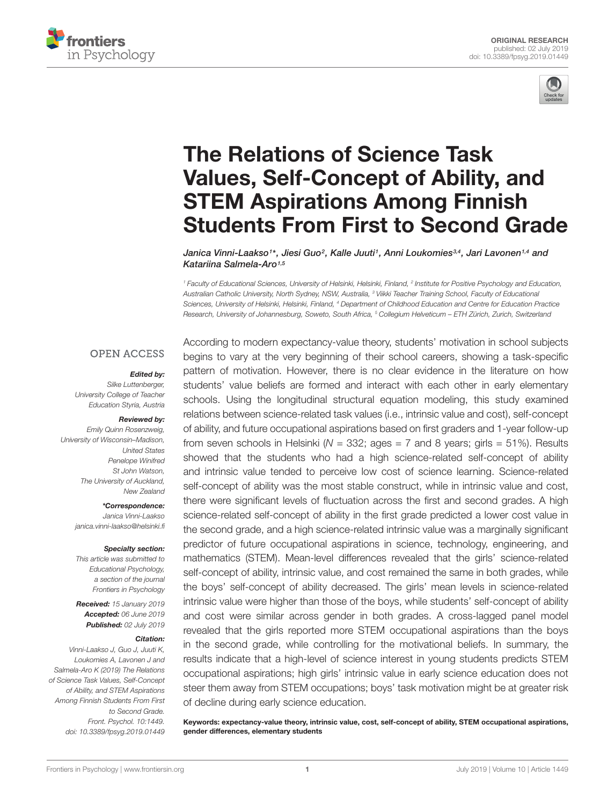



# The Relations of Science Task Values, Self-Concept of Ability, and STEM Aspirations Among Finnish [Students From First to Second Grade](https://www.frontiersin.org/articles/10.3389/fpsyg.2019.01449/full)

[Janica Vinni-Laakso](http://loop.frontiersin.org/people/588484/overview)1\*, [Jiesi Guo](http://loop.frontiersin.org/people/523680/overview)<sup>2</sup>, Kalle Juuti1, Anni Loukomies<sup>3,4</sup>, Jari Lavonen<sup>1,4</sup> and [Katariina Salmela-Aro](http://loop.frontiersin.org/people/21201/overview)<sup>1,5</sup>

<sup>1</sup> Faculty of Educational Sciences, University of Helsinki, Helsinki, Finland, <sup>2</sup> Institute for Positive Psychology and Education, Australian Catholic University, North Sydney, NSW, Australia, <sup>3</sup> Viikki Teacher Training School, Faculty of Educational Sciences, University of Helsinki, Helsinki, Finland, <sup>4</sup> Department of Childhood Education and Centre for Education Practice Research, University of Johannesburg, Soweto, South Africa, <sup>5</sup> Collegium Helveticum – ETH Zürich, Zurich, Switzerland

#### **OPEN ACCESS**

#### Edited by:

Silke Luttenberger, University College of Teacher Education Styria, Austria

#### Reviewed by:

Emily Quinn Rosenzweig, University of Wisconsin–Madison, United States Penelope Winifred St John Watson, The University of Auckland, New Zealand

\*Correspondence:

Janica Vinni-Laakso janica.vinni-laakso@helsinki.fi

#### Specialty section:

This article was submitted to Educational Psychology, a section of the journal Frontiers in Psychology

Received: 15 January 2019 Accepted: 06 June 2019 Published: 02 July 2019

#### Citation:

Vinni-Laakso J, Guo J, Juuti K, Loukomies A, Lavonen J and Salmela-Aro K (2019) The Relations of Science Task Values, Self-Concept of Ability, and STEM Aspirations Among Finnish Students From First to Second Grade. Front. Psychol. 10:1449. doi: [10.3389/fpsyg.2019.01449](https://doi.org/10.3389/fpsyg.2019.01449) According to modern expectancy-value theory, students' motivation in school subjects begins to vary at the very beginning of their school careers, showing a task-specific pattern of motivation. However, there is no clear evidence in the literature on how students' value beliefs are formed and interact with each other in early elementary schools. Using the longitudinal structural equation modeling, this study examined relations between science-related task values (i.e., intrinsic value and cost), self-concept of ability, and future occupational aspirations based on first graders and 1-year follow-up from seven schools in Helsinki ( $N = 332$ ; ages = 7 and 8 years; girls = 51%). Results showed that the students who had a high science-related self-concept of ability and intrinsic value tended to perceive low cost of science learning. Science-related self-concept of ability was the most stable construct, while in intrinsic value and cost, there were significant levels of fluctuation across the first and second grades. A high science-related self-concept of ability in the first grade predicted a lower cost value in the second grade, and a high science-related intrinsic value was a marginally significant predictor of future occupational aspirations in science, technology, engineering, and mathematics (STEM). Mean-level differences revealed that the girls' science-related self-concept of ability, intrinsic value, and cost remained the same in both grades, while the boys' self-concept of ability decreased. The girls' mean levels in science-related intrinsic value were higher than those of the boys, while students' self-concept of ability and cost were similar across gender in both grades. A cross-lagged panel model revealed that the girls reported more STEM occupational aspirations than the boys in the second grade, while controlling for the motivational beliefs. In summary, the results indicate that a high-level of science interest in young students predicts STEM occupational aspirations; high girls' intrinsic value in early science education does not steer them away from STEM occupations; boys' task motivation might be at greater risk of decline during early science education.

Keywords: expectancy-value theory, intrinsic value, cost, self-concept of ability, STEM occupational aspirations, gender differences, elementary students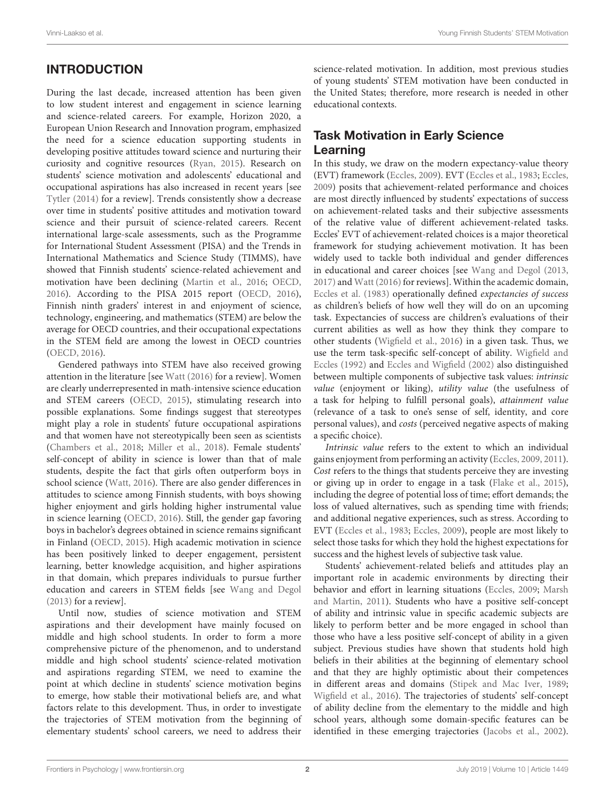# INTRODUCTION

During the last decade, increased attention has been given to low student interest and engagement in science learning and science-related careers. For example, Horizon 2020, a European Union Research and Innovation program, emphasized the need for a science education supporting students in developing positive attitudes toward science and nurturing their curiosity and cognitive resources [\(Ryan,](#page-14-0) [2015\)](#page-14-0). Research on students' science motivation and adolescents' educational and occupational aspirations has also increased in recent years [see [Tytler](#page-14-1) [\(2014\)](#page-14-1) for a review]. Trends consistently show a decrease over time in students' positive attitudes and motivation toward science and their pursuit of science-related careers. Recent international large-scale assessments, such as the Programme for International Student Assessment (PISA) and the Trends in International Mathematics and Science Study (TIMMS), have showed that Finnish students' science-related achievement and motivation have been declining [\(Martin et al.,](#page-14-2) [2016;](#page-14-2) [OECD,](#page-14-3) [2016\)](#page-14-3). According to the PISA 2015 report [\(OECD,](#page-14-3) [2016\)](#page-14-3), Finnish ninth graders' interest in and enjoyment of science, technology, engineering, and mathematics (STEM) are below the average for OECD countries, and their occupational expectations in the STEM field are among the lowest in OECD countries [\(OECD,](#page-14-3) [2016\)](#page-14-3).

Gendered pathways into STEM have also received growing attention in the literature [see [Watt](#page-14-4) [\(2016\)](#page-14-4) for a review]. Women are clearly underrepresented in math-intensive science education and STEM careers [\(OECD,](#page-14-5) [2015\)](#page-14-5), stimulating research into possible explanations. Some findings suggest that stereotypes might play a role in students' future occupational aspirations and that women have not stereotypically been seen as scientists [\(Chambers et al.,](#page-13-0) [2018;](#page-13-0) [Miller et al.,](#page-14-6) [2018\)](#page-14-6). Female students' self-concept of ability in science is lower than that of male students, despite the fact that girls often outperform boys in school science [\(Watt,](#page-14-4) [2016\)](#page-14-4). There are also gender differences in attitudes to science among Finnish students, with boys showing higher enjoyment and girls holding higher instrumental value in science learning [\(OECD,](#page-14-3) [2016\)](#page-14-3). Still, the gender gap favoring boys in bachelor's degrees obtained in science remains significant in Finland [\(OECD,](#page-14-5) [2015\)](#page-14-5). High academic motivation in science has been positively linked to deeper engagement, persistent learning, better knowledge acquisition, and higher aspirations in that domain, which prepares individuals to pursue further education and careers in STEM fields [see [Wang and Degol](#page-14-7) [\(2013\)](#page-14-7) for a review].

Until now, studies of science motivation and STEM aspirations and their development have mainly focused on middle and high school students. In order to form a more comprehensive picture of the phenomenon, and to understand middle and high school students' science-related motivation and aspirations regarding STEM, we need to examine the point at which decline in students' science motivation begins to emerge, how stable their motivational beliefs are, and what factors relate to this development. Thus, in order to investigate the trajectories of STEM motivation from the beginning of elementary students' school careers, we need to address their

science-related motivation. In addition, most previous studies of young students' STEM motivation have been conducted in the United States; therefore, more research is needed in other educational contexts.

# Task Motivation in Early Science Learning

In this study, we draw on the modern expectancy-value theory (EVT) framework [\(Eccles,](#page-13-1) [2009\)](#page-13-1). EVT [\(Eccles et al.,](#page-13-2) [1983;](#page-13-2) [Eccles,](#page-13-1) [2009\)](#page-13-1) posits that achievement-related performance and choices are most directly influenced by students' expectations of success on achievement-related tasks and their subjective assessments of the relative value of different achievement-related tasks. Eccles' EVT of achievement-related choices is a major theoretical framework for studying achievement motivation. It has been widely used to tackle both individual and gender differences in educational and career choices [see [Wang and Degol](#page-14-7) [\(2013,](#page-14-7) [2017\)](#page-14-8) and Watt (2016) for reviews]. Within the academic domain, [Eccles et al.](#page-13-2) [\(1983\)](#page-13-2) operationally defined expectancies of success as children's beliefs of how well they will do on an upcoming task. Expectancies of success are children's evaluations of their current abilities as well as how they think they compare to other students [\(Wigfield et al.,](#page-15-0) [2016\)](#page-15-0) in a given task. Thus, we use the term task-specific self-concept of ability. [Wigfield and](#page-14-9) [Eccles](#page-14-9) [\(1992\)](#page-14-9) and [Eccles and Wigfield](#page-13-3) [\(2002\)](#page-13-3) also distinguished between multiple components of subjective task values: intrinsic value (enjoyment or liking), utility value (the usefulness of a task for helping to fulfill personal goals), attainment value (relevance of a task to one's sense of self, identity, and core personal values), and costs (perceived negative aspects of making a specific choice).

Intrinsic value refers to the extent to which an individual gains enjoyment from performing an activity [\(Eccles,](#page-13-1) [2009,](#page-13-1) [2011\)](#page-13-4). Cost refers to the things that students perceive they are investing or giving up in order to engage in a task [\(Flake et al.,](#page-13-5) [2015\)](#page-13-5), including the degree of potential loss of time; effort demands; the loss of valued alternatives, such as spending time with friends; and additional negative experiences, such as stress. According to EVT [\(Eccles et al.,](#page-13-2) [1983;](#page-13-2) [Eccles,](#page-13-1) [2009\)](#page-13-1), people are most likely to select those tasks for which they hold the highest expectations for success and the highest levels of subjective task value.

Students' achievement-related beliefs and attitudes play an important role in academic environments by directing their behavior and effort in learning situations [\(Eccles,](#page-13-1) [2009;](#page-13-1) [Marsh](#page-14-10) [and Martin,](#page-14-10) [2011\)](#page-14-10). Students who have a positive self-concept of ability and intrinsic value in specific academic subjects are likely to perform better and be more engaged in school than those who have a less positive self-concept of ability in a given subject. Previous studies have shown that students hold high beliefs in their abilities at the beginning of elementary school and that they are highly optimistic about their competences in different areas and domains [\(Stipek and Mac Iver,](#page-14-11) [1989;](#page-14-11) [Wigfield et al.,](#page-15-0) [2016\)](#page-15-0). The trajectories of students' self-concept of ability decline from the elementary to the middle and high school years, although some domain-specific features can be identified in these emerging trajectories [\(Jacobs et al.,](#page-14-12) [2002\)](#page-14-12).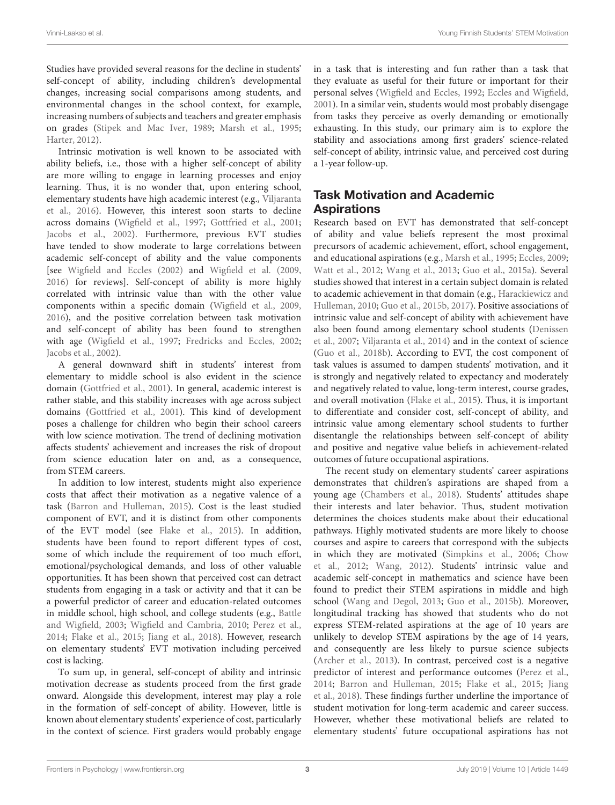Studies have provided several reasons for the decline in students' self-concept of ability, including children's developmental changes, increasing social comparisons among students, and environmental changes in the school context, for example, increasing numbers of subjects and teachers and greater emphasis on grades [\(Stipek and Mac Iver,](#page-14-11) [1989;](#page-14-11) [Marsh et al.,](#page-14-13) [1995;](#page-14-13) [Harter,](#page-14-14) [2012\)](#page-14-14).

Intrinsic motivation is well known to be associated with ability beliefs, i.e., those with a higher self-concept of ability are more willing to engage in learning processes and enjoy learning. Thus, it is no wonder that, upon entering school, elementary students have high academic interest (e.g., [Viljaranta](#page-14-15) [et al.,](#page-14-15) [2016\)](#page-14-15). However, this interest soon starts to decline across domains [\(Wigfield et al.,](#page-15-1) [1997;](#page-15-1) [Gottfried et al.,](#page-14-16) [2001;](#page-14-16) [Jacobs et al.,](#page-14-12) [2002\)](#page-14-12). Furthermore, previous EVT studies have tended to show moderate to large correlations between academic self-concept of ability and the value components [see [Wigfield and Eccles](#page-15-2) [\(2002\)](#page-15-2) and [Wigfield et al.](#page-15-3) [\(2009,](#page-15-3) [2016\)](#page-15-0) for reviews]. Self-concept of ability is more highly correlated with intrinsic value than with the other value components within a specific domain [\(Wigfield et al.,](#page-15-3) [2009,](#page-15-3) [2016\)](#page-15-0), and the positive correlation between task motivation and self-concept of ability has been found to strengthen with age [\(Wigfield et al.,](#page-15-1) [1997;](#page-15-1) [Fredricks and Eccles,](#page-13-6) [2002;](#page-13-6) [Jacobs et al.,](#page-14-12) [2002\)](#page-14-12).

A general downward shift in students' interest from elementary to middle school is also evident in the science domain [\(Gottfried et al.,](#page-14-16) [2001\)](#page-14-16). In general, academic interest is rather stable, and this stability increases with age across subject domains [\(Gottfried et al.,](#page-14-16) [2001\)](#page-14-16). This kind of development poses a challenge for children who begin their school careers with low science motivation. The trend of declining motivation affects students' achievement and increases the risk of dropout from science education later on and, as a consequence, from STEM careers.

In addition to low interest, students might also experience costs that affect their motivation as a negative valence of a task [\(Barron and Hulleman,](#page-13-7) [2015\)](#page-13-7). Cost is the least studied component of EVT, and it is distinct from other components of the EVT model (see [Flake et al.,](#page-13-5) [2015\)](#page-13-5). In addition, students have been found to report different types of cost, some of which include the requirement of too much effort, emotional/psychological demands, and loss of other valuable opportunities. It has been shown that perceived cost can detract students from engaging in a task or activity and that it can be a powerful predictor of career and education-related outcomes in middle school, high school, and college students (e.g., [Battle](#page-13-8) [and Wigfield,](#page-13-8) [2003;](#page-13-8) [Wigfield and Cambria,](#page-14-17) [2010;](#page-14-17) [Perez et al.,](#page-14-18) [2014;](#page-14-18) [Flake et al.,](#page-13-5) [2015;](#page-13-5) [Jiang et al.,](#page-14-19) [2018\)](#page-14-19). However, research on elementary students' EVT motivation including perceived cost is lacking.

To sum up, in general, self-concept of ability and intrinsic motivation decrease as students proceed from the first grade onward. Alongside this development, interest may play a role in the formation of self-concept of ability. However, little is known about elementary students' experience of cost, particularly in the context of science. First graders would probably engage in a task that is interesting and fun rather than a task that they evaluate as useful for their future or important for their personal selves [\(Wigfield and Eccles,](#page-14-9) [1992;](#page-14-9) [Eccles and Wigfield,](#page-13-9) [2001\)](#page-13-9). In a similar vein, students would most probably disengage from tasks they perceive as overly demanding or emotionally exhausting. In this study, our primary aim is to explore the stability and associations among first graders' science-related self-concept of ability, intrinsic value, and perceived cost during a 1-year follow-up.

# Task Motivation and Academic Aspirations

Research based on EVT has demonstrated that self-concept of ability and value beliefs represent the most proximal precursors of academic achievement, effort, school engagement, and educational aspirations (e.g., [Marsh et al.,](#page-14-13) [1995;](#page-14-13) [Eccles,](#page-13-1) [2009;](#page-13-1) [Watt et al.,](#page-14-20) [2012;](#page-14-20) [Wang et al.,](#page-14-21) [2013;](#page-14-21) [Guo et al.,](#page-14-22) [2015a\)](#page-14-22). Several studies showed that interest in a certain subject domain is related to academic achievement in that domain (e.g., [Harackiewicz and](#page-14-23) [Hulleman,](#page-14-23) [2010;](#page-14-23) [Guo et al.,](#page-14-24) [2015b,](#page-14-24) [2017\)](#page-14-25). Positive associations of intrinsic value and self-concept of ability with achievement have also been found among elementary school students [\(Denissen](#page-13-10) [et al.,](#page-13-10) [2007;](#page-13-10) [Viljaranta et al.,](#page-14-26) [2014\)](#page-14-26) and in the context of science [\(Guo et al.,](#page-14-27) [2018b\)](#page-14-27). According to EVT, the cost component of task values is assumed to dampen students' motivation, and it is strongly and negatively related to expectancy and moderately and negatively related to value, long-term interest, course grades, and overall motivation [\(Flake et al.,](#page-13-5) [2015\)](#page-13-5). Thus, it is important to differentiate and consider cost, self-concept of ability, and intrinsic value among elementary school students to further disentangle the relationships between self-concept of ability and positive and negative value beliefs in achievement-related outcomes of future occupational aspirations.

The recent study on elementary students' career aspirations demonstrates that children's aspirations are shaped from a young age [\(Chambers et al.,](#page-13-0) [2018\)](#page-13-0). Students' attitudes shape their interests and later behavior. Thus, student motivation determines the choices students make about their educational pathways. Highly motivated students are more likely to choose courses and aspire to careers that correspond with the subjects in which they are motivated [\(Simpkins et al.,](#page-14-28) [2006;](#page-14-28) [Chow](#page-13-11) [et al.,](#page-13-11) [2012;](#page-13-11) [Wang,](#page-14-29) [2012\)](#page-14-29). Students' intrinsic value and academic self-concept in mathematics and science have been found to predict their STEM aspirations in middle and high school [\(Wang and Degol,](#page-14-7) [2013;](#page-14-7) [Guo et al.,](#page-14-24) [2015b\)](#page-14-24). Moreover, longitudinal tracking has showed that students who do not express STEM-related aspirations at the age of 10 years are unlikely to develop STEM aspirations by the age of 14 years, and consequently are less likely to pursue science subjects [\(Archer et al.,](#page-13-12) [2013\)](#page-13-12). In contrast, perceived cost is a negative predictor of interest and performance outcomes [\(Perez et al.,](#page-14-18) [2014;](#page-14-18) [Barron and Hulleman,](#page-13-7) [2015;](#page-13-7) [Flake et al.,](#page-13-5) [2015;](#page-13-5) [Jiang](#page-14-19) [et al.,](#page-14-19) [2018\)](#page-14-19). These findings further underline the importance of student motivation for long-term academic and career success. However, whether these motivational beliefs are related to elementary students' future occupational aspirations has not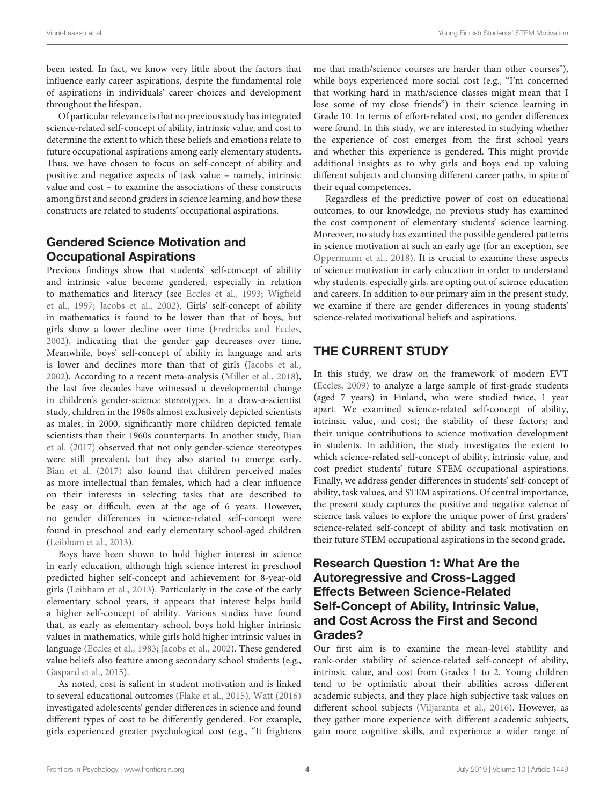been tested. In fact, we know very little about the factors that influence early career aspirations, despite the fundamental role of aspirations in individuals' career choices and development throughout the lifespan.

Of particular relevance is that no previous study has integrated science-related self-concept of ability, intrinsic value, and cost to determine the extent to which these beliefs and emotions relate to future occupational aspirations among early elementary students. Thus, we have chosen to focus on self-concept of ability and positive and negative aspects of task value – namely, intrinsic value and cost – to examine the associations of these constructs among first and second graders in science learning, and how these constructs are related to students' occupational aspirations.

### Gendered Science Motivation and Occupational Aspirations

Previous findings show that students' self-concept of ability and intrinsic value become gendered, especially in relation to mathematics and literacy (see [Eccles et al.,](#page-13-13) [1993;](#page-13-13) [Wigfield](#page-15-1) [et al.,](#page-15-1) [1997;](#page-15-1) [Jacobs et al.,](#page-14-12) [2002\)](#page-14-12). Girls' self-concept of ability in mathematics is found to be lower than that of boys, but girls show a lower decline over time [\(Fredricks and Eccles,](#page-13-6) [2002\)](#page-13-6), indicating that the gender gap decreases over time. Meanwhile, boys' self-concept of ability in language and arts is lower and declines more than that of girls [\(Jacobs et al.,](#page-14-12) [2002\)](#page-14-12). According to a recent meta-analysis [\(Miller et al.,](#page-14-6) [2018\)](#page-14-6), the last five decades have witnessed a developmental change in children's gender-science stereotypes. In a draw-a-scientist study, children in the 1960s almost exclusively depicted scientists as males; in 2000, significantly more children depicted female scientists than their 1960s counterparts. In another study, [Bian](#page-13-14) [et al.](#page-13-14) [\(2017\)](#page-13-14) observed that not only gender-science stereotypes were still prevalent, but they also started to emerge early. [Bian et al.](#page-13-14) [\(2017\)](#page-13-14) also found that children perceived males as more intellectual than females, which had a clear influence on their interests in selecting tasks that are described to be easy or difficult, even at the age of 6 years. However, no gender differences in science-related self-concept were found in preschool and early elementary school-aged children [\(Leibham et al.,](#page-14-30) [2013\)](#page-14-30).

Boys have been shown to hold higher interest in science in early education, although high science interest in preschool predicted higher self-concept and achievement for 8-year-old girls [\(Leibham et al.,](#page-14-30) [2013\)](#page-14-30). Particularly in the case of the early elementary school years, it appears that interest helps build a higher self-concept of ability. Various studies have found that, as early as elementary school, boys hold higher intrinsic values in mathematics, while girls hold higher intrinsic values in language [\(Eccles et al.,](#page-13-2) [1983;](#page-13-2) [Jacobs et al.,](#page-14-12) [2002\)](#page-14-12). These gendered value beliefs also feature among secondary school students (e.g., [Gaspard et al.,](#page-13-15) [2015\)](#page-13-15).

As noted, cost is salient in student motivation and is linked to several educational outcomes [\(Flake et al.,](#page-13-5) [2015\)](#page-13-5). [Watt](#page-14-4) [\(2016\)](#page-14-4) investigated adolescents' gender differences in science and found different types of cost to be differently gendered. For example, girls experienced greater psychological cost (e.g., "It frightens me that math/science courses are harder than other courses"), while boys experienced more social cost (e.g., "I'm concerned that working hard in math/science classes might mean that I lose some of my close friends") in their science learning in Grade 10. In terms of effort-related cost, no gender differences were found. In this study, we are interested in studying whether the experience of cost emerges from the first school years and whether this experience is gendered. This might provide additional insights as to why girls and boys end up valuing different subjects and choosing different career paths, in spite of their equal competences.

Regardless of the predictive power of cost on educational outcomes, to our knowledge, no previous study has examined the cost component of elementary students' science learning. Moreover, no study has examined the possible gendered patterns in science motivation at such an early age (for an exception, see [Oppermann et al.,](#page-14-31) [2018\)](#page-14-31). It is crucial to examine these aspects of science motivation in early education in order to understand why students, especially girls, are opting out of science education and careers. In addition to our primary aim in the present study, we examine if there are gender differences in young students' science-related motivational beliefs and aspirations.

## THE CURRENT STUDY

In this study, we draw on the framework of modern EVT [\(Eccles,](#page-13-1) [2009\)](#page-13-1) to analyze a large sample of first-grade students (aged 7 years) in Finland, who were studied twice, 1 year apart. We examined science-related self-concept of ability, intrinsic value, and cost; the stability of these factors; and their unique contributions to science motivation development in students. In addition, the study investigates the extent to which science-related self-concept of ability, intrinsic value, and cost predict students' future STEM occupational aspirations. Finally, we address gender differences in students' self-concept of ability, task values, and STEM aspirations. Of central importance, the present study captures the positive and negative valence of science task values to explore the unique power of first graders' science-related self-concept of ability and task motivation on their future STEM occupational aspirations in the second grade.

### Research Question 1: What Are the Autoregressive and Cross-Lagged Effects Between Science-Related Self-Concept of Ability, Intrinsic Value, and Cost Across the First and Second Grades?

Our first aim is to examine the mean-level stability and rank-order stability of science-related self-concept of ability, intrinsic value, and cost from Grades 1 to 2. Young children tend to be optimistic about their abilities across different academic subjects, and they place high subjective task values on different school subjects [\(Viljaranta et al.,](#page-14-15) [2016\)](#page-14-15). However, as they gather more experience with different academic subjects, gain more cognitive skills, and experience a wider range of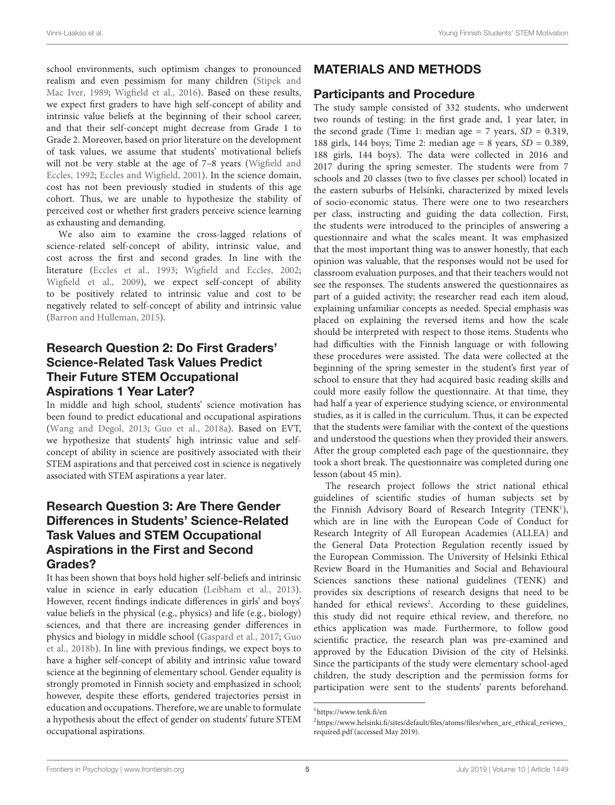school environments, such optimism changes to pronounced realism and even pessimism for many children [\(Stipek and](#page-14-11) [Mac Iver,](#page-14-11) [1989;](#page-14-11) [Wigfield et al.,](#page-15-0) [2016\)](#page-15-0). Based on these results, we expect first graders to have high self-concept of ability and intrinsic value beliefs at the beginning of their school career, and that their self-concept might decrease from Grade 1 to Grade 2. Moreover, based on prior literature on the development of task values, we assume that students' motivational beliefs will not be very stable at the age of 7–8 years [\(Wigfield and](#page-14-9) [Eccles,](#page-14-9) [1992;](#page-14-9) [Eccles and Wigfield,](#page-13-9) [2001\)](#page-13-9). In the science domain, cost has not been previously studied in students of this age cohort. Thus, we are unable to hypothesize the stability of perceived cost or whether first graders perceive science learning as exhausting and demanding.

We also aim to examine the cross-lagged relations of science-related self-concept of ability, intrinsic value, and cost across the first and second grades. In line with the literature [\(Eccles et al.,](#page-13-13) [1993;](#page-13-13) [Wigfield and Eccles,](#page-15-2) [2002;](#page-15-2) [Wigfield et al.,](#page-15-3) [2009\)](#page-15-3), we expect self-concept of ability to be positively related to intrinsic value and cost to be negatively related to self-concept of ability and intrinsic value [\(Barron and Hulleman,](#page-13-7) [2015\)](#page-13-7).

### Research Question 2: Do First Graders' Science-Related Task Values Predict Their Future STEM Occupational Aspirations 1 Year Later?

In middle and high school, students' science motivation has been found to predict educational and occupational aspirations [\(Wang and Degol,](#page-14-7) [2013;](#page-14-7) [Guo et al.,](#page-14-32) [2018a\)](#page-14-32). Based on EVT, we hypothesize that students' high intrinsic value and selfconcept of ability in science are positively associated with their STEM aspirations and that perceived cost in science is negatively associated with STEM aspirations a year later.

### Research Question 3: Are There Gender Differences in Students' Science-Related Task Values and STEM Occupational Aspirations in the First and Second Grades?

It has been shown that boys hold higher self-beliefs and intrinsic value in science in early education [\(Leibham et al.,](#page-14-30) [2013\)](#page-14-30). However, recent findings indicate differences in girls' and boys' value beliefs in the physical (e.g., physics) and life (e.g., biology) sciences, and that there are increasing gender differences in physics and biology in middle school [\(Gaspard et al.,](#page-14-33) [2017;](#page-14-33) [Guo](#page-14-27) [et al.,](#page-14-27) [2018b\)](#page-14-27). In line with previous findings, we expect boys to have a higher self-concept of ability and intrinsic value toward science at the beginning of elementary school. Gender equality is strongly promoted in Finnish society and emphasized in school; however, despite these efforts, gendered trajectories persist in education and occupations. Therefore, we are unable to formulate a hypothesis about the effect of gender on students' future STEM occupational aspirations.

# MATERIALS AND METHODS

### Participants and Procedure

The study sample consisted of 332 students, who underwent two rounds of testing: in the first grade and, 1 year later, in the second grade (Time 1: median age = 7 years,  $SD = 0.319$ , 188 girls, 144 boys; Time 2: median age = 8 years,  $SD = 0.389$ , 188 girls, 144 boys). The data were collected in 2016 and 2017 during the spring semester. The students were from 7 schools and 20 classes (two to five classes per school) located in the eastern suburbs of Helsinki, characterized by mixed levels of socio-economic status. There were one to two researchers per class, instructing and guiding the data collection. First, the students were introduced to the principles of answering a questionnaire and what the scales meant. It was emphasized that the most important thing was to answer honestly, that each opinion was valuable, that the responses would not be used for classroom evaluation purposes, and that their teachers would not see the responses. The students answered the questionnaires as part of a guided activity; the researcher read each item aloud, explaining unfamiliar concepts as needed. Special emphasis was placed on explaining the reversed items and how the scale should be interpreted with respect to those items. Students who had difficulties with the Finnish language or with following these procedures were assisted. The data were collected at the beginning of the spring semester in the student's first year of school to ensure that they had acquired basic reading skills and could more easily follow the questionnaire. At that time, they had half a year of experience studying science, or environmental studies, as it is called in the curriculum. Thus, it can be expected that the students were familiar with the context of the questions and understood the questions when they provided their answers. After the group completed each page of the questionnaire, they took a short break. The questionnaire was completed during one lesson (about 45 min).

The research project follows the strict national ethical guidelines of scientific studies of human subjects set by the Finnish Advisory Board of Research Integrity (TENK<sup>[1](#page-5-0)</sup>), which are in line with the European Code of Conduct for Research Integrity of All European Academies (ALLEA) and the General Data Protection Regulation recently issued by the European Commission. The University of Helsinki Ethical Review Board in the Humanities and Social and Behavioural Sciences sanctions these national guidelines (TENK) and provides six descriptions of research designs that need to be handed for ethical reviews<sup>[2](#page-5-1)</sup>. According to these guidelines, this study did not require ethical review, and therefore, no ethics application was made. Furthermore, to follow good scientific practice, the research plan was pre-examined and approved by the Education Division of the city of Helsinki. Since the participants of the study were elementary school-aged children, the study description and the permission forms for participation were sent to the students' parents beforehand.

<span id="page-5-0"></span><sup>1</sup><https://www.tenk.fi/en>

<span id="page-5-1"></span><sup>2</sup>[https://www.helsinki.fi/sites/default/files/atoms/files/when\\_are\\_ethical\\_reviews\\_](https://www.helsinki.fi/sites/default/files/atoms/files/when_are_ethical_reviews_required.pdf) [required.pdf](https://www.helsinki.fi/sites/default/files/atoms/files/when_are_ethical_reviews_required.pdf) (accessed May 2019).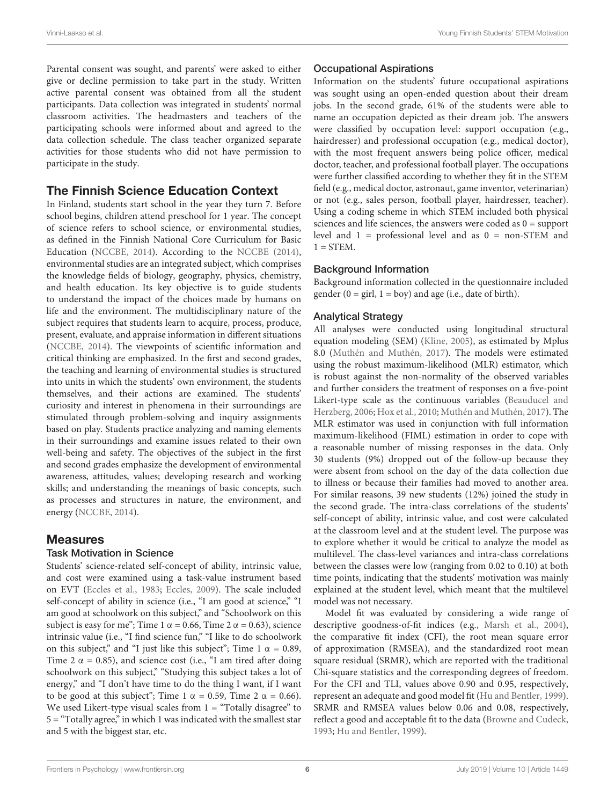Parental consent was sought, and parents' were asked to either give or decline permission to take part in the study. Written active parental consent was obtained from all the student participants. Data collection was integrated in students' normal classroom activities. The headmasters and teachers of the participating schools were informed about and agreed to the data collection schedule. The class teacher organized separate activities for those students who did not have permission to participate in the study.

### The Finnish Science Education Context

In Finland, students start school in the year they turn 7. Before school begins, children attend preschool for 1 year. The concept of science refers to school science, or environmental studies, as defined in the Finnish National Core Curriculum for Basic Education [\(NCCBE,](#page-14-34) [2014\)](#page-14-34). According to the [NCCBE](#page-14-34) [\(2014\)](#page-14-34), environmental studies are an integrated subject, which comprises the knowledge fields of biology, geography, physics, chemistry, and health education. Its key objective is to guide students to understand the impact of the choices made by humans on life and the environment. The multidisciplinary nature of the subject requires that students learn to acquire, process, produce, present, evaluate, and appraise information in different situations [\(NCCBE,](#page-14-34) [2014\)](#page-14-34). The viewpoints of scientific information and critical thinking are emphasized. In the first and second grades, the teaching and learning of environmental studies is structured into units in which the students' own environment, the students themselves, and their actions are examined. The students' curiosity and interest in phenomena in their surroundings are stimulated through problem-solving and inquiry assignments based on play. Students practice analyzing and naming elements in their surroundings and examine issues related to their own well-being and safety. The objectives of the subject in the first and second grades emphasize the development of environmental awareness, attitudes, values; developing research and working skills; and understanding the meanings of basic concepts, such as processes and structures in nature, the environment, and energy [\(NCCBE,](#page-14-34) [2014\)](#page-14-34).

### Measures

#### Task Motivation in Science

Students' science-related self-concept of ability, intrinsic value, and cost were examined using a task-value instrument based on EVT [\(Eccles et al.,](#page-13-2) [1983;](#page-13-2) [Eccles,](#page-13-1) [2009\)](#page-13-1). The scale included self-concept of ability in science (i.e., "I am good at science," "I am good at schoolwork on this subject," and "Schoolwork on this subject is easy for me"; Time 1  $\alpha$  = 0.66, Time 2  $\alpha$  = 0.63), science intrinsic value (i.e., "I find science fun," "I like to do schoolwork on this subject," and "I just like this subject"; Time 1  $\alpha$  = 0.89, Time 2  $\alpha$  = 0.85), and science cost (i.e., "I am tired after doing schoolwork on this subject," "Studying this subject takes a lot of energy," and "I don't have time to do the thing I want, if I want to be good at this subject"; Time 1  $\alpha$  = 0.59, Time 2  $\alpha$  = 0.66). We used Likert-type visual scales from  $1 =$  "Totally disagree" to 5 = "Totally agree," in which 1 was indicated with the smallest star and 5 with the biggest star, etc.

### Occupational Aspirations

Information on the students' future occupational aspirations was sought using an open-ended question about their dream jobs. In the second grade, 61% of the students were able to name an occupation depicted as their dream job. The answers were classified by occupation level: support occupation (e.g., hairdresser) and professional occupation (e.g., medical doctor), with the most frequent answers being police officer, medical doctor, teacher, and professional football player. The occupations were further classified according to whether they fit in the STEM field (e.g., medical doctor, astronaut, game inventor, veterinarian) or not (e.g., sales person, football player, hairdresser, teacher). Using a coding scheme in which STEM included both physical sciences and life sciences, the answers were coded as  $0 =$  support level and 1 = professional level and as 0 = non-STEM and  $1 =$  STEM.

### Background Information

Background information collected in the questionnaire included gender  $(0 = \text{girl}, 1 = \text{boy})$  and age (i.e., date of birth).

### Analytical Strategy

All analyses were conducted using longitudinal structural equation modeling (SEM) [\(Kline,](#page-14-35) [2005\)](#page-14-35), as estimated by Mplus 8.0 [\(Muthén and Muthén,](#page-14-36) [2017\)](#page-14-36). The models were estimated using the robust maximum-likelihood (MLR) estimator, which is robust against the non-normality of the observed variables and further considers the treatment of responses on a five-point Likert-type scale as the continuous variables [\(Beauducel and](#page-13-16) [Herzberg,](#page-13-16) [2006;](#page-13-16) [Hox et al.,](#page-14-37) [2010;](#page-14-37) [Muthén and Muthén,](#page-14-36) [2017\)](#page-14-36). The MLR estimator was used in conjunction with full information maximum-likelihood (FIML) estimation in order to cope with a reasonable number of missing responses in the data. Only 30 students (9%) dropped out of the follow-up because they were absent from school on the day of the data collection due to illness or because their families had moved to another area. For similar reasons, 39 new students (12%) joined the study in the second grade. The intra-class correlations of the students' self-concept of ability, intrinsic value, and cost were calculated at the classroom level and at the student level. The purpose was to explore whether it would be critical to analyze the model as multilevel. The class-level variances and intra-class correlations between the classes were low (ranging from 0.02 to 0.10) at both time points, indicating that the students' motivation was mainly explained at the student level, which meant that the multilevel model was not necessary.

Model fit was evaluated by considering a wide range of descriptive goodness-of-fit indices (e.g., [Marsh et al.,](#page-14-38) [2004\)](#page-14-38), the comparative fit index (CFI), the root mean square error of approximation (RMSEA), and the standardized root mean square residual (SRMR), which are reported with the traditional Chi-square statistics and the corresponding degrees of freedom. For the CFI and TLI, values above 0.90 and 0.95, respectively, represent an adequate and good model fit [\(Hu and Bentler,](#page-14-39) [1999\)](#page-14-39). SRMR and RMSEA values below 0.06 and 0.08, respectively, reflect a good and acceptable fit to the data [\(Browne and Cudeck,](#page-13-17) [1993;](#page-13-17) [Hu and Bentler,](#page-14-39) [1999\)](#page-14-39).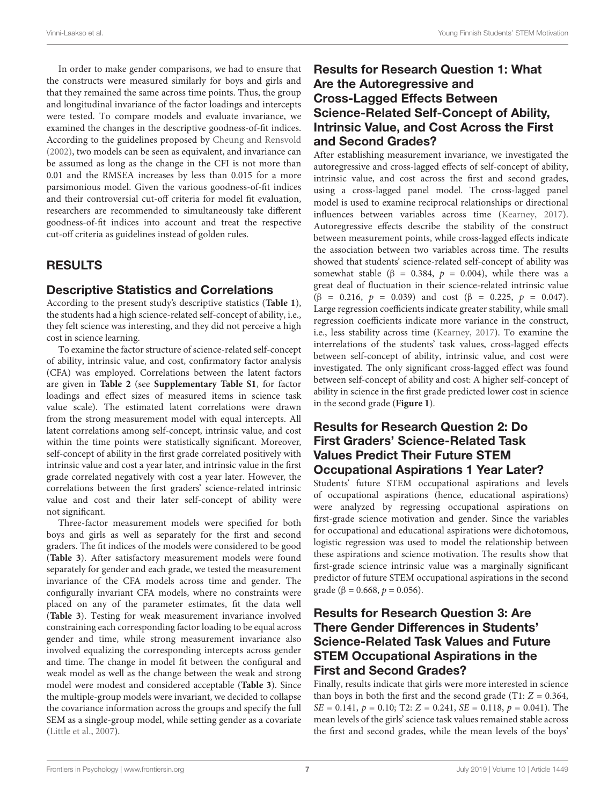In order to make gender comparisons, we had to ensure that the constructs were measured similarly for boys and girls and that they remained the same across time points. Thus, the group and longitudinal invariance of the factor loadings and intercepts were tested. To compare models and evaluate invariance, we examined the changes in the descriptive goodness-of-fit indices. According to the guidelines proposed by [Cheung and Rensvold](#page-13-18) [\(2002\)](#page-13-18), two models can be seen as equivalent, and invariance can be assumed as long as the change in the CFI is not more than 0.01 and the RMSEA increases by less than 0.015 for a more parsimonious model. Given the various goodness-of-fit indices and their controversial cut-off criteria for model fit evaluation, researchers are recommended to simultaneously take different goodness-of-fit indices into account and treat the respective cut-off criteria as guidelines instead of golden rules.

### RESULTS

### Descriptive Statistics and Correlations

According to the present study's descriptive statistics (**[Table 1](#page-8-0)**), the students had a high science-related self-concept of ability, i.e., they felt science was interesting, and they did not perceive a high cost in science learning.

To examine the factor structure of science-related self-concept of ability, intrinsic value, and cost, confirmatory factor analysis (CFA) was employed. Correlations between the latent factors are given in **[Table 2](#page-10-0)** (see **[Supplementary Table S1](#page-13-19)**, for factor loadings and effect sizes of measured items in science task value scale). The estimated latent correlations were drawn from the strong measurement model with equal intercepts. All latent correlations among self-concept, intrinsic value, and cost within the time points were statistically significant. Moreover, self-concept of ability in the first grade correlated positively with intrinsic value and cost a year later, and intrinsic value in the first grade correlated negatively with cost a year later. However, the correlations between the first graders' science-related intrinsic value and cost and their later self-concept of ability were not significant.

Three-factor measurement models were specified for both boys and girls as well as separately for the first and second graders. The fit indices of the models were considered to be good (**[Table 3](#page-10-1)**). After satisfactory measurement models were found separately for gender and each grade, we tested the measurement invariance of the CFA models across time and gender. The configurally invariant CFA models, where no constraints were placed on any of the parameter estimates, fit the data well (**[Table 3](#page-10-1)**). Testing for weak measurement invariance involved constraining each corresponding factor loading to be equal across gender and time, while strong measurement invariance also involved equalizing the corresponding intercepts across gender and time. The change in model fit between the configural and weak model as well as the change between the weak and strong model were modest and considered acceptable (**[Table 3](#page-10-1)**). Since the multiple-group models were invariant, we decided to collapse the covariance information across the groups and specify the full SEM as a single-group model, while setting gender as a covariate [\(Little et al.,](#page-14-40) [2007\)](#page-14-40).

### Results for Research Question 1: What Are the Autoregressive and Cross-Lagged Effects Between Science-Related Self-Concept of Ability, Intrinsic Value, and Cost Across the First and Second Grades?

After establishing measurement invariance, we investigated the autoregressive and cross-lagged effects of self-concept of ability, intrinsic value, and cost across the first and second grades, using a cross-lagged panel model. The cross-lagged panel model is used to examine reciprocal relationships or directional influences between variables across time [\(Kearney,](#page-14-41) [2017\)](#page-14-41). Autoregressive effects describe the stability of the construct between measurement points, while cross-lagged effects indicate the association between two variables across time. The results showed that students' science-related self-concept of ability was somewhat stable ( $\beta$  = 0.384,  $p$  = 0.004), while there was a great deal of fluctuation in their science-related intrinsic value (β = 0.216,  $p = 0.039$ ) and cost (β = 0.225,  $p = 0.047$ ). Large regression coefficients indicate greater stability, while small regression coefficients indicate more variance in the construct, i.e., less stability across time [\(Kearney,](#page-14-41) [2017\)](#page-14-41). To examine the interrelations of the students' task values, cross-lagged effects between self-concept of ability, intrinsic value, and cost were investigated. The only significant cross-lagged effect was found between self-concept of ability and cost: A higher self-concept of ability in science in the first grade predicted lower cost in science in the second grade (**[Figure 1](#page-11-0)**).

### Results for Research Question 2: Do First Graders' Science-Related Task Values Predict Their Future STEM Occupational Aspirations 1 Year Later?

Students' future STEM occupational aspirations and levels of occupational aspirations (hence, educational aspirations) were analyzed by regressing occupational aspirations on first-grade science motivation and gender. Since the variables for occupational and educational aspirations were dichotomous, logistic regression was used to model the relationship between these aspirations and science motivation. The results show that first-grade science intrinsic value was a marginally significant predictor of future STEM occupational aspirations in the second grade ( $\beta = 0.668$ ,  $p = 0.056$ ).

### Results for Research Question 3: Are There Gender Differences in Students' Science-Related Task Values and Future STEM Occupational Aspirations in the First and Second Grades?

Finally, results indicate that girls were more interested in science than boys in both the first and the second grade (T1:  $Z = 0.364$ ,  $SE = 0.141$ ,  $p = 0.10$ ; T2:  $Z = 0.241$ ,  $SE = 0.118$ ,  $p = 0.041$ ). The mean levels of the girls' science task values remained stable across the first and second grades, while the mean levels of the boys'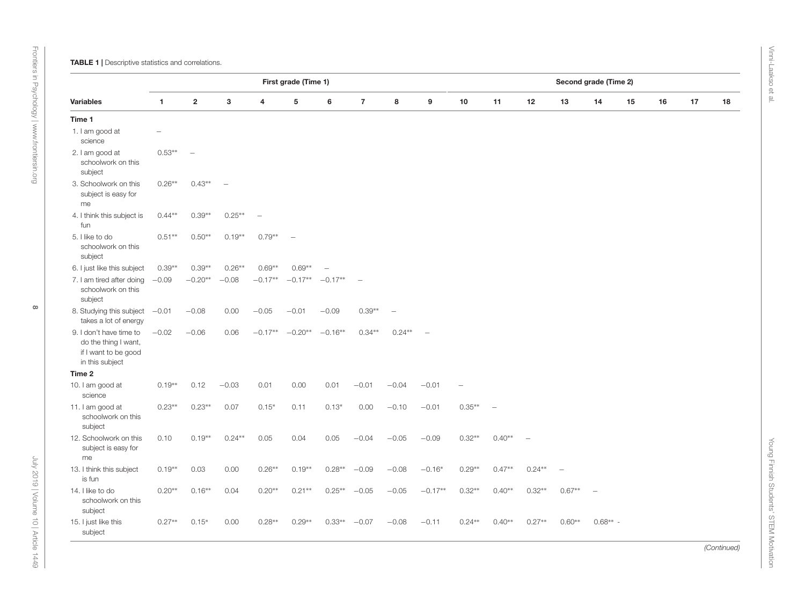|                                                                                            |              |                         |           |           | First grade (Time 1) |           |                          |          |           |           |          |          | Second grade (Time 2) |            |    |    |    |    |
|--------------------------------------------------------------------------------------------|--------------|-------------------------|-----------|-----------|----------------------|-----------|--------------------------|----------|-----------|-----------|----------|----------|-----------------------|------------|----|----|----|----|
| <b>Variables</b>                                                                           | $\mathbf{1}$ | $\overline{\mathbf{2}}$ | 3         | 4         | 5                    | 6         | $\overline{7}$           | 8        | 9         | 10        | 11       | 12       | 13                    | 14         | 15 | 16 | 17 | 18 |
| Time 1                                                                                     |              |                         |           |           |                      |           |                          |          |           |           |          |          |                       |            |    |    |    |    |
| 1. I am good at<br>science                                                                 |              |                         |           |           |                      |           |                          |          |           |           |          |          |                       |            |    |    |    |    |
| 2. I am good at<br>schoolwork on this<br>subject                                           | $0.53**$     | $\sim$                  |           |           |                      |           |                          |          |           |           |          |          |                       |            |    |    |    |    |
| 3. Schoolwork on this<br>subject is easy for<br>me                                         | $0.26**$     | $0.43**$                |           |           |                      |           |                          |          |           |           |          |          |                       |            |    |    |    |    |
| 4. I think this subject is<br>fun                                                          | $0.44**$     | $0.39**$                | $0.25***$ |           |                      |           |                          |          |           |           |          |          |                       |            |    |    |    |    |
| 5. I like to do<br>schoolwork on this<br>subject                                           | $0.51**$     | $0.50**$                | $0.19**$  | $0.79**$  |                      |           |                          |          |           |           |          |          |                       |            |    |    |    |    |
| 6. I just like this subject                                                                | $0.39**$     | $0.39**$                | $0.26**$  | $0.69**$  | $0.69**$             |           |                          |          |           |           |          |          |                       |            |    |    |    |    |
| 7. I am tired after doing<br>schoolwork on this<br>subject                                 | $-0.09$      | $-0.20**$               | $-0.08$   | $-0.17**$ | $-0.17**$            | $-0.17**$ | $\overline{\phantom{0}}$ |          |           |           |          |          |                       |            |    |    |    |    |
| 8. Studying this subject<br>takes a lot of energy                                          | $-0.01$      | $-0.08$                 | 0.00      | $-0.05$   | $-0.01$              | $-0.09$   | $0.39**$                 |          |           |           |          |          |                       |            |    |    |    |    |
| 9. I don't have time to<br>do the thing I want,<br>if I want to be good<br>in this subject | $-0.02$      | $-0.06$                 | 0.06      | $-0.17**$ | $-0.20**$            | $-0.16**$ | $0.34**$                 | $0.24**$ |           |           |          |          |                       |            |    |    |    |    |
| Time 2                                                                                     |              |                         |           |           |                      |           |                          |          |           |           |          |          |                       |            |    |    |    |    |
| 10. I am good at<br>science                                                                | $0.19**$     | 0.12                    | $-0.03$   | 0.01      | 0.00                 | 0.01      | $-0.01$                  | $-0.04$  | $-0.01$   |           |          |          |                       |            |    |    |    |    |
| 11. I am good at<br>schoolwork on this<br>subject                                          | $0.23**$     | $0.23**$                | 0.07      | $0.15*$   | 0.11                 | $0.13*$   | 0.00                     | $-0.10$  | $-0.01$   | $0.35***$ |          |          |                       |            |    |    |    |    |
| 12. Schoolwork on this<br>subject is easy for<br>me                                        | 0.10         | $0.19**$                | $0.24**$  | 0.05      | 0.04                 | 0.05      | $-0.04$                  | $-0.05$  | $-0.09$   | $0.32**$  | $0.40**$ |          |                       |            |    |    |    |    |
| 13. I think this subject<br>is fun                                                         | $0.19**$     | 0.03                    | 0.00      | $0.26**$  | $0.19**$             | $0.28**$  | $-0.09$                  | $-0.08$  | $-0.16*$  | $0.29**$  | $0.47**$ | $0.24**$ |                       |            |    |    |    |    |
| 14. I like to do<br>schoolwork on this<br>subject                                          | $0.20**$     | $0.16**$                | 0.04      | $0.20**$  | $0.21**$             | $0.25***$ | $-0.05$                  | $-0.05$  | $-0.17**$ | $0.32**$  | $0.40**$ | $0.32**$ | $0.67**$              |            |    |    |    |    |
| 15. I just like this<br>subject                                                            | $0.27**$     | $0.15*$                 | 0.00      | $0.28**$  | $0.29**$             | $0.33**$  | $-0.07$                  | $-0.08$  | $-0.11$   | $0.24**$  | $0.40**$ | $0.27**$ | $0.60**$              | $0.68** -$ |    |    |    |    |

<span id="page-8-0"></span>July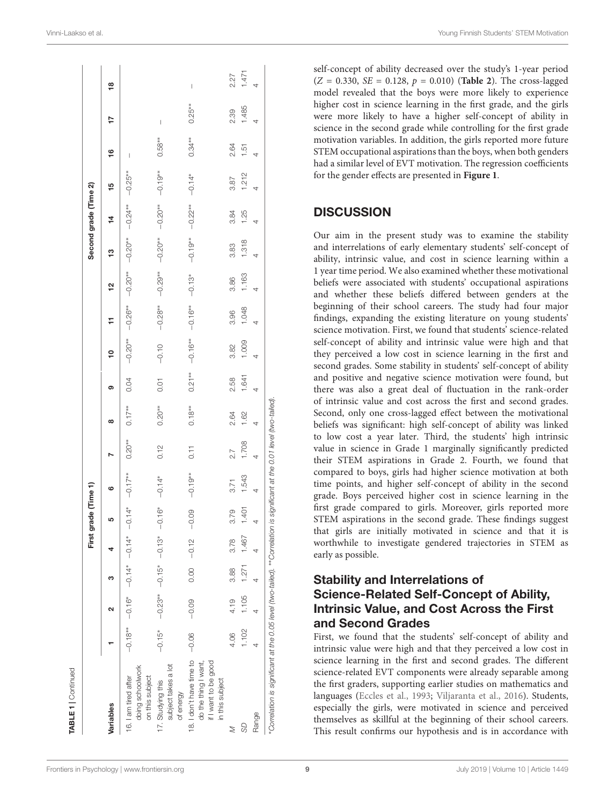|                                                                                                   |       |                                                       |                   |                      | First grade (Time 1) |            |           |           |           |                    |            |           |                               | Second grade (Time 2) |            |           |           |       |
|---------------------------------------------------------------------------------------------------|-------|-------------------------------------------------------|-------------------|----------------------|----------------------|------------|-----------|-----------|-----------|--------------------|------------|-----------|-------------------------------|-----------------------|------------|-----------|-----------|-------|
| Variables                                                                                         |       | Ν                                                     | က                 |                      | ഥ                    | ဖ          |           | œ         | ග         | ₽                  | ∓          | 엳         | ဗ္                            | 4                     | 15         | <u>ي</u>  |           | ₽     |
| doing schoolwork<br>16. I am tired after<br>on this subject                                       |       | $-0.18*$ $-0.16*$ $-0.16*$ $-0.16*$ $-0.16*$ $-0.16*$ |                   |                      |                      | $-0.17***$ | $0.20***$ | $0.17***$ | 0.04      | $-0.20**$          | $-0.26***$ | $-0.20**$ | $-0.20**$                     | $-0.24**$             | $-0.25***$ | I         |           |       |
| subject takes a lot<br>17. Studying this<br>of energy                                             |       | $-0.15*$ $-0.23**$ $-0.15*$ $-0.13*$ $-0.16*$         |                   |                      |                      | $-0.14*$   | 0.12      | $0.20***$ | 0.01      | $-0.10$            | $-0.28**$  |           | $-0.29**$ $-0.20**$ $-0.70**$ |                       |            | $0.58***$ | I         |       |
| 18. I don't have time to -0.06<br>if I want to be good<br>do the thing I want,<br>in this subject |       | $-0.09$                                               |                   | $0.00 - 0.12 - 0.09$ |                      | $-0.19**$  | 0.11      | $0.18***$ | $0.21***$ | $-0.16***$ -0.16** |            | $-0.13*$  | $-0.19***$                    | $-0.22***$            | $-0.14*$   | $0.34***$ | $0.25***$ | I     |
|                                                                                                   | 4.06  |                                                       | 4.19 3.88 3.78    |                      | 3.79                 | 3.71       | 27        | 2.64      | 2.58      | 3.82               | 3.96       | 3.86      | 3.83                          | 3.84                  | 3.87       | 2.64      | 2.39      | 2.27  |
| S <sub>D</sub>                                                                                    | 1.102 |                                                       | 1.105 1.271 1.467 |                      | 1.401                | 1.543      | 1.708     | 1.62      | 1.641     | 1.009              | 1.048      | 1.163     | 1.318                         | 1.25                  | 1.212      | 1.51      | 1.485     | 1.471 |
| Range                                                                                             |       |                                                       |                   |                      |                      |            |           | 4         |           |                    |            |           |                               |                       | 4          |           | 4         |       |

self-concept of ability decreased over the study's 1-year period  $(Z = 0.330, SE = 0.128, p = 0.010)$  (**[Table 2](#page-10-0)**). The cross-lagged model revealed that the boys were more likely to experience higher cost in science learning in the first grade, and the girls were more likely to have a higher self-concept of ability in science in the second grade while controlling for the first grade motivation variables. In addition, the girls reported more future STEM occupational aspirations than the boys, when both genders had a similar level of EVT motivation. The regression coefficients for the gender effects are presented in **[Figure 1](#page-11-0)**.

### **DISCUSSION**

Our aim in the present study was to examine the stability and interrelations of early elementary students' self-concept of ability, intrinsic value, and cost in science learning within a 1 year time period. We also examined whether these motivational beliefs were associated with students' occupational aspirations and whether these beliefs differed between genders at the beginning of their school careers. The study had four major findings, expanding the existing literature on young students' science motivation. First, we found that students' science-related self-concept of ability and intrinsic value were high and that they perceived a low cost in science learning in the first and second grades. Some stability in students' self-concept of ability and positive and negative science motivation were found, but there was also a great deal of fluctuation in the rank-order of intrinsic value and cost across the first and second grades. Second, only one cross-lagged effect between the motivational beliefs was significant: high self-concept of ability was linked to low cost a year later. Third, the students' high intrinsic value in science in Grade 1 marginally significantly predicted their STEM aspirations in Grade 2. Fourth, we found that compared to boys, girls had higher science motivation at both time points, and higher self-concept of ability in the second grade. Boys perceived higher cost in science learning in the first grade compared to girls. Moreover, girls reported more STEM aspirations in the second grade. These findings suggest that girls are initially motivated in science and that it is worthwhile to investigate gendered trajectories in STEM as early as possible.

### Stability and Interrelations of Science-Related Self-Concept of Ability, Intrinsic Value, and Cost Across the First and Second Grades

First, we found that the students' self-concept of ability and intrinsic value were high and that they perceived a low cost in science learning in the first and second grades. The different science-related EVT components were already separable among the first graders, supporting earlier studies on mathematics and languages [\(Eccles et al.,](#page-13-13) [1993;](#page-13-13) [Viljaranta et al.,](#page-14-15) [2016\)](#page-14-15). Students, especially the girls, were motivated in science and perceived themselves as skillful at the beginning of their school careers. This result confirms our hypothesis and is in accordance with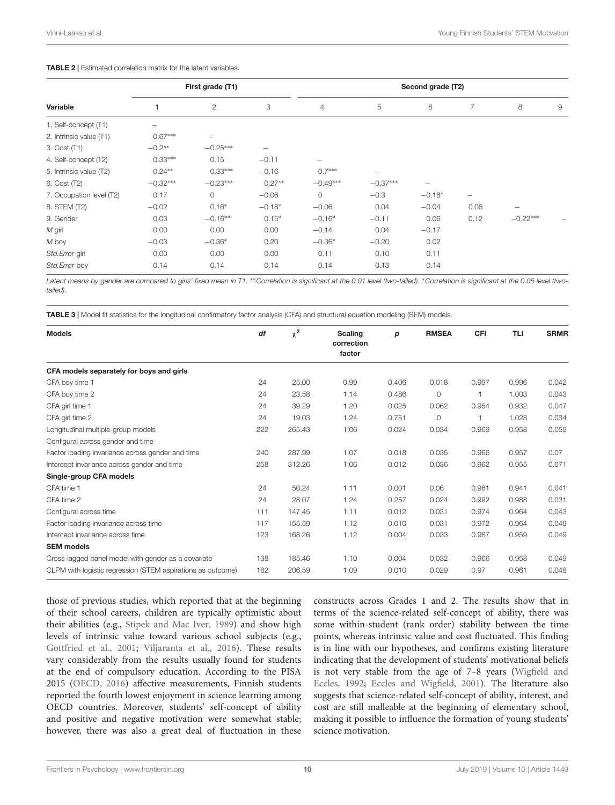#### <span id="page-10-0"></span>TABLE 2 | Estimated correlation matrix for the latent variables.

|                          |                          | First grade (T1) |                          |                |                          | Second grade (T2)        |                   |            |   |
|--------------------------|--------------------------|------------------|--------------------------|----------------|--------------------------|--------------------------|-------------------|------------|---|
| Variable                 |                          | $\mathbf{2}$     | 3                        | $\overline{4}$ | 5                        | 6                        | 7                 | 8          | 9 |
| 1. Self-concept (T1)     | $\overline{\phantom{0}}$ |                  |                          |                |                          |                          |                   |            |   |
| 2. Intrinsic value (T1)  | $0.67***$                |                  |                          |                |                          |                          |                   |            |   |
| 3. Cost (T1)             | $-0.2**$                 | $-0.25***$       | $\overline{\phantom{0}}$ |                |                          |                          |                   |            |   |
| 4. Self-concept (T2)     | $0.33***$                | 0.15             | $-0.11$                  | -              |                          |                          |                   |            |   |
| 5. Intrinsic value (T2)  | $0.24**$                 | $0.33***$        | $-0.16$                  | $0.7***$       | $\overline{\phantom{0}}$ |                          |                   |            |   |
| 6. Cost (T2)             | $-0.32***$               | $-0.23***$       | $0.27**$                 | $-0.49***$     | $-0.37***$               | $\overline{\phantom{0}}$ |                   |            |   |
| 7. Occupation level (T2) | 0.17                     | 0                | $-0.06$                  | 0              | $-0.3$                   | $-0.16*$                 | $\qquad \qquad -$ |            |   |
| 8. STEM (T2)             | $-0.02$                  | $0.16*$          | $-0.18*$                 | $-0.06$        | 0.04                     | $-0.04$                  | 0.06              |            |   |
| 9. Gender                | 0.03                     | $-0.16**$        | $0.15*$                  | $-0.16*$       | $-0.11$                  | 0.06                     | 0.12              | $-0.22***$ |   |
| $M$ girl                 | 0.00                     | 0.00             | 0.00                     | $-0.14$        | 0.04                     | $-0.17$                  |                   |            |   |
| M boy                    | $-0.03$                  | $-0.36*$         | 0.20                     | $-0.36*$       | $-0.20$                  | 0.02                     |                   |            |   |
| Std. Error girl          | 0.00                     | 0.00             | 0.00                     | 0.11           | 0.10                     | 0.11                     |                   |            |   |
| Std.Error boy            | 0.14                     | 0.14             | 0.14                     | 0.14           | 0.13                     | 0.14                     |                   |            |   |

Latent means by gender are compared to girls' fixed mean in T1. \*\*Correlation is significant at the 0.01 level (two-tailed). \*Correlation is significant at the 0.05 level (twotailed).

<span id="page-10-1"></span>TABLE 3 | Model fit statistics for the longitudinal confirmatory factor analysis (CFA) and structural equation modeling (SEM) models.

| <b>Models</b>                                               | df  | $\chi^2$ | <b>Scaling</b><br>correction<br>factor | р     | <b>RMSEA</b> | CFI   | <b>TLI</b> | <b>SRMR</b> |
|-------------------------------------------------------------|-----|----------|----------------------------------------|-------|--------------|-------|------------|-------------|
| CFA models separately for boys and girls                    |     |          |                                        |       |              |       |            |             |
| CFA boy time 1                                              | 24  | 25.00    | 0.99                                   | 0.406 | 0.018        | 0.997 | 0.996      | 0.042       |
| CFA boy time 2                                              | 24  | 23.58    | 1.14                                   | 0.486 | $\circ$      |       | 1.003      | 0.043       |
| CFA girl time 1                                             | 24  | 39.29    | 1.20                                   | 0.025 | 0.062        | 0.954 | 0.932      | 0.047       |
| CFA girl time 2                                             | 24  | 19.03    | 1.24                                   | 0.751 | $\circ$      |       | 1.028      | 0.034       |
| Longitudinal multiple-group models                          | 222 | 265.43   | 1.06                                   | 0.024 | 0.034        | 0.969 | 0.958      | 0.059       |
| Configural across gender and time                           |     |          |                                        |       |              |       |            |             |
| Factor loading invariance across gender and time            | 240 | 287.99   | 1.07                                   | 0.018 | 0.035        | 0.966 | 0.957      | 0.07        |
| Intercept invariance across gender and time                 | 258 | 312.26   | 1.06                                   | 0.012 | 0.036        | 0.962 | 0.955      | 0.071       |
| Single-group CFA models                                     |     |          |                                        |       |              |       |            |             |
| CFA time 1                                                  | 24  | 50.24    | 1.11                                   | 0.001 | 0.06         | 0.961 | 0.941      | 0.041       |
| CFA time 2                                                  | 24  | 28.07    | 1.24                                   | 0.257 | 0.024        | 0.992 | 0.988      | 0.031       |
| Configural across time                                      | 111 | 147.45   | 1.11                                   | 0.012 | 0.031        | 0.974 | 0.964      | 0.043       |
| Factor loading invariance across time                       | 117 | 155.59   | 1.12                                   | 0.010 | 0.031        | 0.972 | 0.964      | 0.049       |
| Intercept invariance across time                            | 123 | 168.26   | 1.12                                   | 0.004 | 0.033        | 0.967 | 0.959      | 0.049       |
| <b>SEM</b> models                                           |     |          |                                        |       |              |       |            |             |
| Cross-lagged panel model with gender as a covariate         | 138 | 185.46   | 1.10                                   | 0.004 | 0.032        | 0.966 | 0.958      | 0.049       |
| CLPM with logistic regression (STEM aspirations as outcome) | 162 | 206.59   | 1.09                                   | 0.010 | 0.029        | 0.97  | 0.961      | 0.048       |

those of previous studies, which reported that at the beginning of their school careers, children are typically optimistic about their abilities (e.g., [Stipek and Mac Iver,](#page-14-11) [1989\)](#page-14-11) and show high levels of intrinsic value toward various school subjects (e.g., [Gottfried et al.,](#page-14-16) [2001;](#page-14-16) [Viljaranta et al.,](#page-14-15) [2016\)](#page-14-15). These results vary considerably from the results usually found for students at the end of compulsory education. According to the PISA 2015 [\(OECD,](#page-14-3) [2016\)](#page-14-3) affective measurements, Finnish students reported the fourth lowest enjoyment in science learning among OECD countries. Moreover, students' self-concept of ability and positive and negative motivation were somewhat stable; however, there was also a great deal of fluctuation in these

constructs across Grades 1 and 2. The results show that in terms of the science-related self-concept of ability, there was some within-student (rank order) stability between the time points, whereas intrinsic value and cost fluctuated. This finding is in line with our hypotheses, and confirms existing literature indicating that the development of students' motivational beliefs is not very stable from the age of 7–8 years [\(Wigfield and](#page-14-9) [Eccles,](#page-14-9) [1992;](#page-14-9) [Eccles and Wigfield,](#page-13-9) [2001\)](#page-13-9). The literature also suggests that science-related self-concept of ability, interest, and cost are still malleable at the beginning of elementary school, making it possible to influence the formation of young students' science motivation.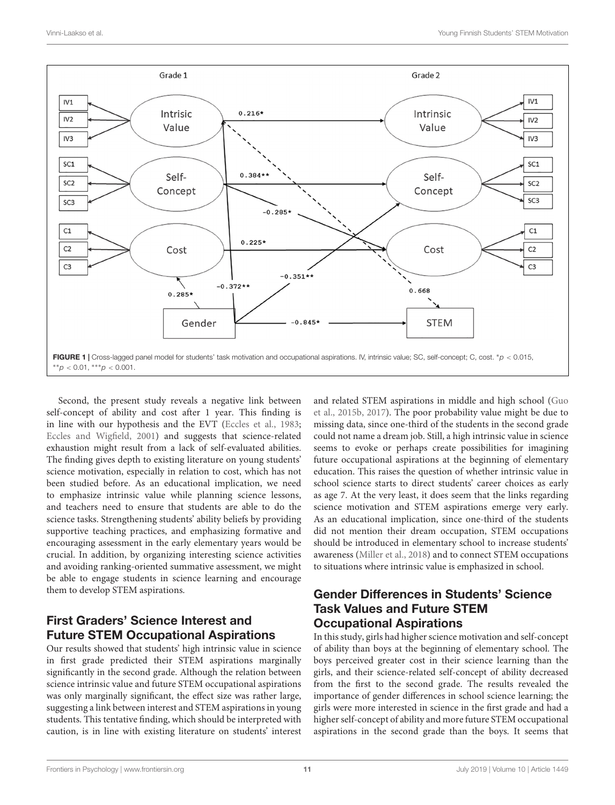

<span id="page-11-0"></span>Second, the present study reveals a negative link between self-concept of ability and cost after 1 year. This finding is in line with our hypothesis and the EVT [\(Eccles et al.,](#page-13-2) [1983;](#page-13-2) [Eccles and Wigfield,](#page-13-9) [2001\)](#page-13-9) and suggests that science-related exhaustion might result from a lack of self-evaluated abilities. The finding gives depth to existing literature on young students' science motivation, especially in relation to cost, which has not been studied before. As an educational implication, we need to emphasize intrinsic value while planning science lessons, and teachers need to ensure that students are able to do the science tasks. Strengthening students' ability beliefs by providing supportive teaching practices, and emphasizing formative and encouraging assessment in the early elementary years would be crucial. In addition, by organizing interesting science activities and avoiding ranking-oriented summative assessment, we might be able to engage students in science learning and encourage them to develop STEM aspirations.

# First Graders' Science Interest and Future STEM Occupational Aspirations

Our results showed that students' high intrinsic value in science in first grade predicted their STEM aspirations marginally significantly in the second grade. Although the relation between science intrinsic value and future STEM occupational aspirations was only marginally significant, the effect size was rather large, suggesting a link between interest and STEM aspirations in young students. This tentative finding, which should be interpreted with caution, is in line with existing literature on students' interest

and related STEM aspirations in middle and high school [\(Guo](#page-14-24) [et al.,](#page-14-24) [2015b,](#page-14-24) [2017\)](#page-14-25). The poor probability value might be due to missing data, since one-third of the students in the second grade could not name a dream job. Still, a high intrinsic value in science seems to evoke or perhaps create possibilities for imagining future occupational aspirations at the beginning of elementary education. This raises the question of whether intrinsic value in school science starts to direct students' career choices as early as age 7. At the very least, it does seem that the links regarding science motivation and STEM aspirations emerge very early. As an educational implication, since one-third of the students did not mention their dream occupation, STEM occupations should be introduced in elementary school to increase students' awareness [\(Miller et al.,](#page-14-6) [2018\)](#page-14-6) and to connect STEM occupations to situations where intrinsic value is emphasized in school.

## Gender Differences in Students' Science Task Values and Future STEM Occupational Aspirations

In this study, girls had higher science motivation and self-concept of ability than boys at the beginning of elementary school. The boys perceived greater cost in their science learning than the girls, and their science-related self-concept of ability decreased from the first to the second grade. The results revealed the importance of gender differences in school science learning; the girls were more interested in science in the first grade and had a higher self-concept of ability and more future STEM occupational aspirations in the second grade than the boys. It seems that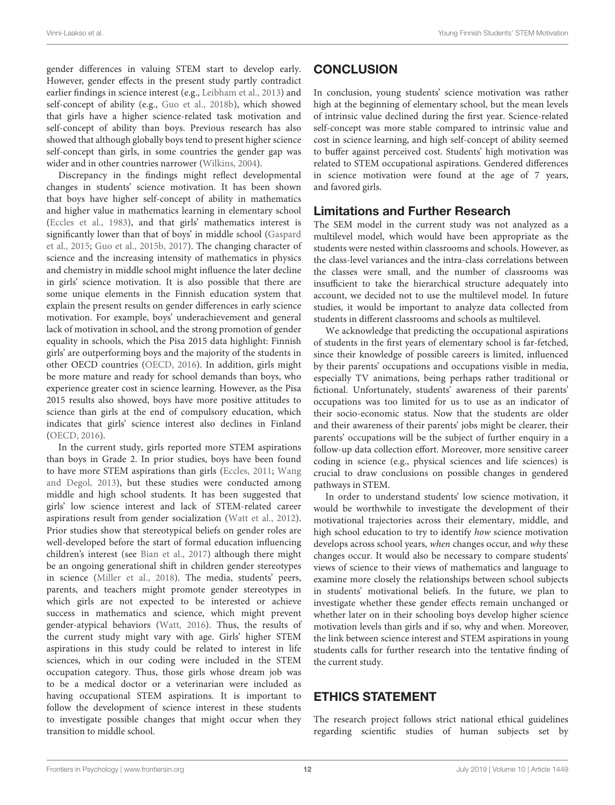gender differences in valuing STEM start to develop early. However, gender effects in the present study partly contradict earlier findings in science interest (e.g., [Leibham et al.,](#page-14-30) [2013\)](#page-14-30) and self-concept of ability (e.g., [Guo et al.,](#page-14-27) [2018b\)](#page-14-27), which showed that girls have a higher science-related task motivation and self-concept of ability than boys. Previous research has also showed that although globally boys tend to present higher science self-concept than girls, in some countries the gender gap was wider and in other countries narrower [\(Wilkins,](#page-15-4) [2004\)](#page-15-4).

Discrepancy in the findings might reflect developmental changes in students' science motivation. It has been shown that boys have higher self-concept of ability in mathematics and higher value in mathematics learning in elementary school [\(Eccles et al.,](#page-13-2) [1983\)](#page-13-2), and that girls' mathematics interest is significantly lower than that of boys' in middle school [\(Gaspard](#page-13-15) [et al.,](#page-13-15) [2015;](#page-13-15) [Guo et al.,](#page-14-24) [2015b,](#page-14-24) [2017\)](#page-14-25). The changing character of science and the increasing intensity of mathematics in physics and chemistry in middle school might influence the later decline in girls' science motivation. It is also possible that there are some unique elements in the Finnish education system that explain the present results on gender differences in early science motivation. For example, boys' underachievement and general lack of motivation in school, and the strong promotion of gender equality in schools, which the Pisa 2015 data highlight: Finnish girls' are outperforming boys and the majority of the students in other OECD countries [\(OECD,](#page-14-3) [2016\)](#page-14-3). In addition, girls might be more mature and ready for school demands than boys, who experience greater cost in science learning. However, as the Pisa 2015 results also showed, boys have more positive attitudes to science than girls at the end of compulsory education, which indicates that girls' science interest also declines in Finland [\(OECD,](#page-14-3) [2016\)](#page-14-3).

In the current study, girls reported more STEM aspirations than boys in Grade 2. In prior studies, boys have been found to have more STEM aspirations than girls [\(Eccles,](#page-13-4) [2011;](#page-13-4) [Wang](#page-14-7) [and Degol,](#page-14-7) [2013\)](#page-14-7), but these studies were conducted among middle and high school students. It has been suggested that girls' low science interest and lack of STEM-related career aspirations result from gender socialization [\(Watt et al.,](#page-14-20) [2012\)](#page-14-20). Prior studies show that stereotypical beliefs on gender roles are well-developed before the start of formal education influencing children's interest (see [Bian et al.,](#page-13-14) [2017\)](#page-13-14) although there might be an ongoing generational shift in children gender stereotypes in science [\(Miller et al.,](#page-14-6) [2018\)](#page-14-6). The media, students' peers, parents, and teachers might promote gender stereotypes in which girls are not expected to be interested or achieve success in mathematics and science, which might prevent gender-atypical behaviors [\(Watt,](#page-14-4) [2016\)](#page-14-4). Thus, the results of the current study might vary with age. Girls' higher STEM aspirations in this study could be related to interest in life sciences, which in our coding were included in the STEM occupation category. Thus, those girls whose dream job was to be a medical doctor or a veterinarian were included as having occupational STEM aspirations. It is important to follow the development of science interest in these students to investigate possible changes that might occur when they transition to middle school.

### **CONCLUSION**

In conclusion, young students' science motivation was rather high at the beginning of elementary school, but the mean levels of intrinsic value declined during the first year. Science-related self-concept was more stable compared to intrinsic value and cost in science learning, and high self-concept of ability seemed to buffer against perceived cost. Students' high motivation was related to STEM occupational aspirations. Gendered differences in science motivation were found at the age of 7 years, and favored girls.

### Limitations and Further Research

The SEM model in the current study was not analyzed as a multilevel model, which would have been appropriate as the students were nested within classrooms and schools. However, as the class-level variances and the intra-class correlations between the classes were small, and the number of classrooms was insufficient to take the hierarchical structure adequately into account, we decided not to use the multilevel model. In future studies, it would be important to analyze data collected from students in different classrooms and schools as multilevel.

We acknowledge that predicting the occupational aspirations of students in the first years of elementary school is far-fetched, since their knowledge of possible careers is limited, influenced by their parents' occupations and occupations visible in media, especially TV animations, being perhaps rather traditional or fictional. Unfortunately, students' awareness of their parents' occupations was too limited for us to use as an indicator of their socio-economic status. Now that the students are older and their awareness of their parents' jobs might be clearer, their parents' occupations will be the subject of further enquiry in a follow-up data collection effort. Moreover, more sensitive career coding in science (e.g., physical sciences and life sciences) is crucial to draw conclusions on possible changes in gendered pathways in STEM.

In order to understand students' low science motivation, it would be worthwhile to investigate the development of their motivational trajectories across their elementary, middle, and high school education to try to identify how science motivation develops across school years, when changes occur, and why these changes occur. It would also be necessary to compare students' views of science to their views of mathematics and language to examine more closely the relationships between school subjects in students' motivational beliefs. In the future, we plan to investigate whether these gender effects remain unchanged or whether later on in their schooling boys develop higher science motivation levels than girls and if so, why and when. Moreover, the link between science interest and STEM aspirations in young students calls for further research into the tentative finding of the current study.

### ETHICS STATEMENT

The research project follows strict national ethical guidelines regarding scientific studies of human subjects set by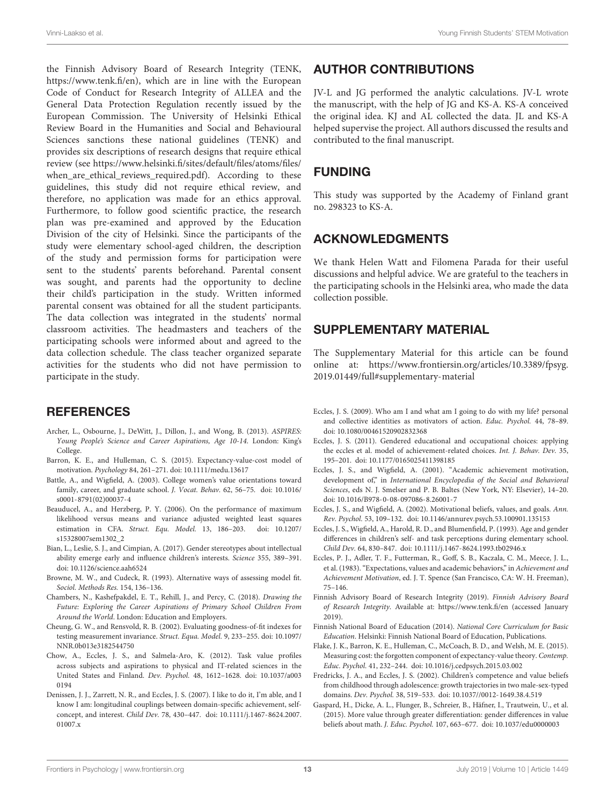the Finnish Advisory Board of Research Integrity (TENK, [https://www.tenk.fi/en\)](https://www.tenk.fi/en), which are in line with the European Code of Conduct for Research Integrity of ALLEA and the General Data Protection Regulation recently issued by the European Commission. The University of Helsinki Ethical Review Board in the Humanities and Social and Behavioural Sciences sanctions these national guidelines (TENK) and provides six descriptions of research designs that require ethical review (see [https://www.helsinki.fi/sites/default/files/atoms/files/](https://www.helsinki.fi/sites/default/files/atoms/files/when_are_ethical_reviews_required.pdf) [when\\_are\\_ethical\\_reviews\\_required.pdf\)](https://www.helsinki.fi/sites/default/files/atoms/files/when_are_ethical_reviews_required.pdf). According to these guidelines, this study did not require ethical review, and therefore, no application was made for an ethics approval. Furthermore, to follow good scientific practice, the research plan was pre-examined and approved by the Education Division of the city of Helsinki. Since the participants of the study were elementary school-aged children, the description of the study and permission forms for participation were sent to the students' parents beforehand. Parental consent was sought, and parents had the opportunity to decline their child's participation in the study. Written informed parental consent was obtained for all the student participants. The data collection was integrated in the students' normal classroom activities. The headmasters and teachers of the participating schools were informed about and agreed to the data collection schedule. The class teacher organized separate activities for the students who did not have permission to participate in the study.

### **REFERENCES**

- <span id="page-13-12"></span>Archer, L., Osbourne, J., DeWitt, J., Dillon, J., and Wong, B. (2013). ASPIRES: Young People's Science and Career Aspirations, Age 10-14. London: King's College.
- <span id="page-13-7"></span>Barron, K. E., and Hulleman, C. S. (2015). Expectancy-value-cost model of motivation. Psychology 84, 261–271. [doi: 10.1111/medu.13617](https://doi.org/10.1111/medu.13617)
- <span id="page-13-8"></span>Battle, A., and Wigfield, A. (2003). College women's value orientations toward family, career, and graduate school. J. Vocat. Behav. 62, 56–75. [doi: 10.1016/](https://doi.org/10.1016/s0001-8791(02)00037-4) [s0001-8791\(02\)00037-4](https://doi.org/10.1016/s0001-8791(02)00037-4)
- <span id="page-13-16"></span>Beauducel, A., and Herzberg, P. Y. (2006). On the performance of maximum likelihood versus means and variance adjusted weighted least squares estimation in CFA. Struct. Equ. Model. 13, 186–203. [doi: 10.1207/](https://doi.org/10.1207/s15328007sem1302_2) [s15328007sem1302\\_2](https://doi.org/10.1207/s15328007sem1302_2)
- <span id="page-13-14"></span>Bian, L., Leslie, S. J., and Cimpian, A. (2017). Gender stereotypes about intellectual ability emerge early and influence children's interests. Science 355, 389–391. [doi: 10.1126/science.aah6524](https://doi.org/10.1126/science.aah6524)
- <span id="page-13-17"></span>Browne, M. W., and Cudeck, R. (1993). Alternative ways of assessing model fit. Sociol. Methods Res. 154, 136–136.
- <span id="page-13-0"></span>Chambers, N., Kashefpakdel, E. T., Rehill, J., and Percy, C. (2018). Drawing the Future: Exploring the Career Aspirations of Primary School Children From Around the World. London: Education and Employers.
- <span id="page-13-18"></span>Cheung, G. W., and Rensvold, R. B. (2002). Evaluating goodness-of-fit indexes for testing measurement invariance. Struct. Equa. Model. 9, 233–255. [doi: 10.1097/](https://doi.org/10.1097/NNR.0b013e3182544750) [NNR.0b013e3182544750](https://doi.org/10.1097/NNR.0b013e3182544750)
- <span id="page-13-11"></span>Chow, A., Eccles, J. S., and Salmela-Aro, K. (2012). Task value profiles across subjects and aspirations to physical and IT-related sciences in the United States and Finland. Dev. Psychol. 48, 1612–1628. [doi: 10.1037/a003](https://doi.org/10.1037/a0030194) [0194](https://doi.org/10.1037/a0030194)
- <span id="page-13-10"></span>Denissen, J. J., Zarrett, N. R., and Eccles, J. S. (2007). I like to do it, I'm able, and I know I am: longitudinal couplings between domain-specific achievement, selfconcept, and interest. Child Dev. 78, 430–447. [doi: 10.1111/j.1467-8624.2007.](https://doi.org/10.1111/j.1467-8624.2007.01007.x) [01007.x](https://doi.org/10.1111/j.1467-8624.2007.01007.x)

### AUTHOR CONTRIBUTIONS

JV-L and JG performed the analytic calculations. JV-L wrote the manuscript, with the help of JG and KS-A. KS-A conceived the original idea. KJ and AL collected the data. JL and KS-A helped supervise the project. All authors discussed the results and contributed to the final manuscript.

### FUNDING

This study was supported by the Academy of Finland grant no. 298323 to KS-A.

### ACKNOWLEDGMENTS

We thank Helen Watt and Filomena Parada for their useful discussions and helpful advice. We are grateful to the teachers in the participating schools in the Helsinki area, who made the data collection possible.

### <span id="page-13-19"></span>SUPPLEMENTARY MATERIAL

The Supplementary Material for this article can be found online at: [https://www.frontiersin.org/articles/10.3389/fpsyg.](https://www.frontiersin.org/articles/10.3389/fpsyg.2019.01449/full#supplementary-material) [2019.01449/full#supplementary-material](https://www.frontiersin.org/articles/10.3389/fpsyg.2019.01449/full#supplementary-material)

- <span id="page-13-1"></span>Eccles, J. S. (2009). Who am I and what am I going to do with my life? personal and collective identities as motivators of action. Educ. Psychol. 44, 78–89. [doi: 10.1080/00461520902832368](https://doi.org/10.1080/00461520902832368)
- <span id="page-13-4"></span>Eccles, J. S. (2011). Gendered educational and occupational choices: applying the eccles et al. model of achievement-related choices. Int. J. Behav. Dev. 35, 195–201. [doi: 10.1177/0165025411398185](https://doi.org/10.1177/0165025411398185)
- <span id="page-13-9"></span>Eccles, J. S., and Wigfield, A. (2001). "Academic achievement motivation, development of," in International Encyclopedia of the Social and Behavioral Sciences, eds N. J. Smelser and P. B. Baltes (New York, NY: Elsevier), 14–20. [doi: 10.1016/B978-0-08-097086-8.26001-7](https://doi.org/10.1016/B978-0-08-097086-8.26001-7)
- <span id="page-13-3"></span>Eccles, J. S., and Wigfield, A. (2002). Motivational beliefs, values, and goals. Ann. Rev. Psychol. 53, 109–132. [doi: 10.1146/annurev.psych.53.100901.135153](https://doi.org/10.1146/annurev.psych.53.100901.135153)
- <span id="page-13-13"></span>Eccles, J. S., Wigfield, A., Harold, R. D., and Blumenfield, P. (1993). Age and gender differences in children's self- and task perceptions during elementary school. Child Dev. 64, 830–847. [doi: 10.1111/j.1467-8624.1993.tb02946.x](https://doi.org/10.1111/j.1467-8624.1993.tb02946.x)
- <span id="page-13-2"></span>Eccles, P. J., Adler, T. F., Futterman, R., Goff, S. B., Kaczala, C. M., Meece, J. L., et al. (1983). "Expectations, values and academic behaviors," in Achievement and Achievement Motivation, ed. J. T. Spence (San Francisco, CA: W. H. Freeman), 75–146.
- Finnish Advisory Board of Research Integrity (2019). Finnish Advisory Board of Research Integrity. Available at: <https://www.tenk.fi/en> (accessed January 2019).
- Finnish National Board of Education (2014). National Core Curriculum for Basic Education. Helsinki: Finnish National Board of Education, Publications.
- <span id="page-13-5"></span>Flake, J. K., Barron, K. E., Hulleman, C., McCoach, B. D., and Welsh, M. E. (2015). Measuring cost: the forgotten component of expectancy-value theory. Contemp. Educ. Psychol. 41, 232–244. [doi: 10.1016/j.cedpsych.2015.03.002](https://doi.org/10.1016/j.cedpsych.2015.03.002)
- <span id="page-13-6"></span>Fredricks, J. A., and Eccles, J. S. (2002). Children's competence and value beliefs from childhood through adolescence: growth trajectories in two male-sex-typed domains. Dev. Psychol. 38, 519–533. [doi: 10.1037//0012-1649.38.4.519](https://doi.org/10.1037//0012-1649.38.4.519)
- <span id="page-13-15"></span>Gaspard, H., Dicke, A. L., Flunger, B., Schreier, B., Häfner, I., Trautwein, U., et al. (2015). More value through greater differentiation: gender differences in value beliefs about math. J. Educ. Psychol. 107, 663–677. [doi: 10.1037/edu0000003](https://doi.org/10.1037/edu0000003)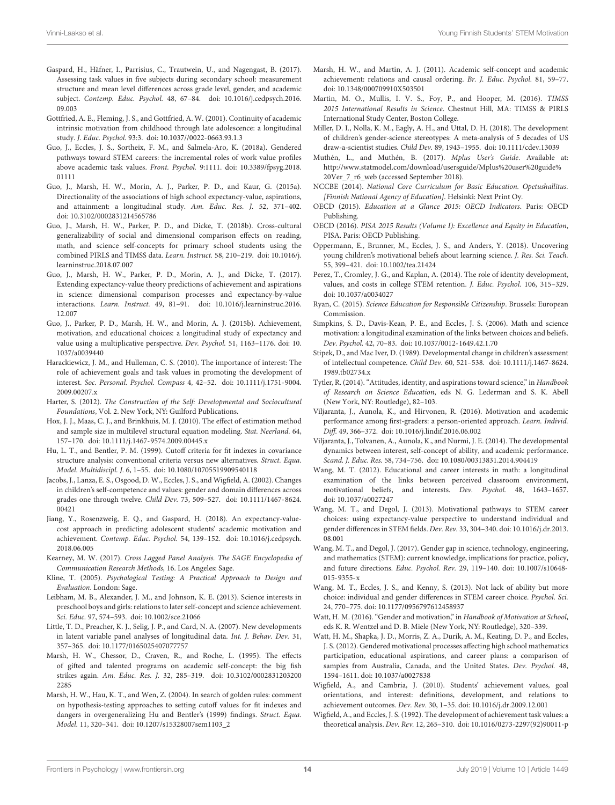- <span id="page-14-33"></span>Gaspard, H., Häfner, I., Parrisius, C., Trautwein, U., and Nagengast, B. (2017). Assessing task values in five subjects during secondary school: measurement structure and mean level differences across grade level, gender, and academic subject. Contemp. Educ. Psychol. 48, 67–84. [doi: 10.1016/j.cedpsych.2016.](https://doi.org/10.1016/j.cedpsych.2016.09.003) [09.003](https://doi.org/10.1016/j.cedpsych.2016.09.003)
- <span id="page-14-16"></span>Gottfried, A. E., Fleming, J. S., and Gottfried, A. W. (2001). Continuity of academic intrinsic motivation from childhood through late adolescence: a longitudinal study. J. Educ. Psychol. 93:3. [doi: 10.1037//0022-0663.93.1.3](https://doi.org/10.1037//0022-0663.93.1.3)
- <span id="page-14-32"></span>Guo, J., Eccles, J. S., Sortheix, F. M., and Salmela-Aro, K. (2018a). Gendered pathways toward STEM careers: the incremental roles of work value profiles above academic task values. Front. Psychol. 9:1111. [doi: 10.3389/fpsyg.2018.](https://doi.org/10.3389/fpsyg.2018.01111) [01111](https://doi.org/10.3389/fpsyg.2018.01111)
- <span id="page-14-22"></span>Guo, J., Marsh, H. W., Morin, A. J., Parker, P. D., and Kaur, G. (2015a). Directionality of the associations of high school expectancy-value, aspirations, and attainment: a longitudinal study. Am. Educ. Res. J. 52, 371–402. [doi: 10.3102/0002831214565786](https://doi.org/10.3102/0002831214565786)
- <span id="page-14-27"></span>Guo, J., Marsh, H. W., Parker, P. D., and Dicke, T. (2018b). Cross-cultural generalizability of social and dimensional comparison effects on reading, math, and science self-concepts for primary school students using the combined PIRLS and TIMSS data. Learn. Instruct. 58, 210–219. [doi: 10.1016/j.](https://doi.org/10.1016/j.learninstruc.2018.07.007) [learninstruc.2018.07.007](https://doi.org/10.1016/j.learninstruc.2018.07.007)
- <span id="page-14-25"></span>Guo, J., Marsh, H. W., Parker, P. D., Morin, A. J., and Dicke, T. (2017). Extending expectancy-value theory predictions of achievement and aspirations in science: dimensional comparison processes and expectancy-by-value interactions. Learn. Instruct. 49, 81–91. [doi: 10.1016/j.learninstruc.2016.](https://doi.org/10.1016/j.learninstruc.2016.12.007) [12.007](https://doi.org/10.1016/j.learninstruc.2016.12.007)
- <span id="page-14-24"></span>Guo, J., Parker, P. D., Marsh, H. W., and Morin, A. J. (2015b). Achievement, motivation, and educational choices: a longitudinal study of expectancy and value using a multiplicative perspective. Dev. Psychol. 51, 1163–1176. [doi: 10.](https://doi.org/10.1037/a0039440) [1037/a0039440](https://doi.org/10.1037/a0039440)
- <span id="page-14-23"></span>Harackiewicz, J. M., and Hulleman, C. S. (2010). The importance of interest: The role of achievement goals and task values in promoting the development of interest. Soc. Personal. Psychol. Compass 4, 42–52. [doi: 10.1111/j.1751-9004.](https://doi.org/10.1111/j.1751-9004.2009.00207.x) [2009.00207.x](https://doi.org/10.1111/j.1751-9004.2009.00207.x)
- <span id="page-14-14"></span>Harter, S. (2012). The Construction of the Self: Developmental and Sociocultural Foundations, Vol. 2. New York, NY: Guilford Publications.
- <span id="page-14-37"></span>Hox, J. J., Maas, C. J., and Brinkhuis, M. J. (2010). The effect of estimation method and sample size in multilevel structural equation modeling. Stat. Neerland. 64, 157–170. [doi: 10.1111/j.1467-9574.2009.00445.x](https://doi.org/10.1111/j.1467-9574.2009.00445.x)
- <span id="page-14-39"></span>Hu, L. T., and Bentler, P. M. (1999). Cutoff criteria for fit indexes in covariance structure analysis: conventional criteria versus new alternatives. Struct. Equa. Model. Multidiscipl. J. 6, 1–55. [doi: 10.1080/10705519909540118](https://doi.org/10.1080/10705519909540118)
- <span id="page-14-12"></span>Jacobs, J., Lanza, E. S., Osgood, D. W., Eccles, J. S., and Wigfield, A. (2002). Changes in children's self-competence and values: gender and domain differences across grades one through twelve. Child Dev. 73, 509–527. [doi: 10.1111/1467-8624.](https://doi.org/10.1111/1467-8624.00421) [00421](https://doi.org/10.1111/1467-8624.00421)
- <span id="page-14-19"></span>Jiang, Y., Rosenzweig, E. Q., and Gaspard, H. (2018). An expectancy-valuecost approach in predicting adolescent students' academic motivation and achievement. Contemp. Educ. Psychol. 54, 139–152. [doi: 10.1016/j.cedpsych.](https://doi.org/10.1016/j.cedpsych.2018.06.005) [2018.06.005](https://doi.org/10.1016/j.cedpsych.2018.06.005)
- <span id="page-14-41"></span>Kearney, M. W. (2017). Cross Lagged Panel Analysis. The SAGE Encyclopedia of Communication Research Methods, 16. Los Angeles: Sage.
- <span id="page-14-35"></span>Kline, T. (2005). Psychological Testing: A Practical Approach to Design and Evaluation. London: Sage.
- <span id="page-14-30"></span>Leibham, M. B., Alexander, J. M., and Johnson, K. E. (2013). Science interests in preschool boys and girls: relations to later self-concept and science achievement. Sci. Educ. 97, 574–593. [doi: 10.1002/sce.21066](https://doi.org/10.1002/sce.21066)
- <span id="page-14-40"></span>Little, T. D., Preacher, K. J., Selig, J. P., and Card, N. A. (2007). New developments in latent variable panel analyses of longitudinal data. Int. J. Behav. Dev. 31, 357–365. [doi: 10.1177/0165025407077757](https://doi.org/10.1177/0165025407077757)
- <span id="page-14-13"></span>Marsh, H. W., Chessor, D., Craven, R., and Roche, L. (1995). The effects of gifted and talented programs on academic self-concept: the big fish strikes again. Am. Educ. Res. J. 32, 285–319. [doi: 10.3102/0002831203200](https://doi.org/10.3102/00028312032002285) [2285](https://doi.org/10.3102/00028312032002285)
- <span id="page-14-38"></span>Marsh, H. W., Hau, K. T., and Wen, Z. (2004). In search of golden rules: comment on hypothesis-testing approaches to setting cutoff values for fit indexes and dangers in overgeneralizing Hu and Bentler's (1999) findings. Struct. Equa. Model. 11, 320–341. [doi: 10.1207/s15328007sem1103\\_2](https://doi.org/10.1207/s15328007sem1103_2)
- <span id="page-14-10"></span>Marsh, H. W., and Martin, A. J. (2011). Academic self-concept and academic achievement: relations and causal ordering. Br. J. Educ. Psychol. 81, 59–77. [doi: 10.1348/000709910X503501](https://doi.org/10.1348/000709910X503501)
- <span id="page-14-2"></span>Martin, M. O., Mullis, I. V. S., Foy, P., and Hooper, M. (2016). TIMSS 2015 International Results in Science. Chestnut Hill, MA: TIMSS & PIRLS International Study Center, Boston College.
- <span id="page-14-6"></span>Miller, D. I., Nolla, K. M., Eagly, A. H., and Uttal, D. H. (2018). The development of children's gender-science stereotypes: A meta-analysis of 5 decades of US draw-a-scientist studies. Child Dev. 89, 1943–1955. [doi: 10.1111/cdev.13039](https://doi.org/10.1111/cdev.13039)
- <span id="page-14-36"></span>Muthén, L., and Muthén, B. (2017). Mplus User's Guide. Available at: [http://www.statmodel.com/download/usersguide/Mplus%20user%20guide%](http://www.statmodel.com/download/usersguide/Mplus%20user%20guide%20Ver_7_r6_web) [20Ver\\_7\\_r6\\_web](http://www.statmodel.com/download/usersguide/Mplus%20user%20guide%20Ver_7_r6_web) (accessed September 2018).
- <span id="page-14-34"></span>NCCBE (2014). National Core Curriculum for Basic Education. Opetushallitus. [Finnish National Agency of Education]. Helsinki: Next Print Oy.
- <span id="page-14-5"></span>OECD (2015). Education at a Glance 2015: OECD Indicators. Paris: OECD Publishing.
- <span id="page-14-3"></span>OECD (2016). PISA 2015 Results (Volume I): Excellence and Equity in Education, PISA. Paris: OECD Publishing.
- <span id="page-14-31"></span>Oppermann, E., Brunner, M., Eccles, J. S., and Anders, Y. (2018). Uncovering young children's motivational beliefs about learning science. J. Res. Sci. Teach. 55, 399–421. [doi: 10.1002/tea.21424](https://doi.org/10.1002/tea.21424)
- <span id="page-14-18"></span>Perez, T., Cromley, J. G., and Kaplan, A. (2014). The role of identity development, values, and costs in college STEM retention. J. Educ. Psychol. 106, 315–329. [doi: 10.1037/a0034027](https://doi.org/10.1037/a0034027)
- <span id="page-14-0"></span>Ryan, C. (2015). Science Education for Responsible Citizenship. Brussels: European Commission.
- <span id="page-14-28"></span>Simpkins, S. D., Davis-Kean, P. E., and Eccles, J. S. (2006). Math and science motivation: a longitudinal examination of the links between choices and beliefs. Dev. Psychol. 42, 70–83. [doi: 10.1037/0012-1649.42.1.70](https://doi.org/10.1037/0012-1649.42.1.70)
- <span id="page-14-11"></span>Stipek, D., and Mac Iver, D. (1989). Developmental change in children's assessment of intellectual competence. Child Dev. 60, 521–538. [doi: 10.1111/j.1467-8624.](https://doi.org/10.1111/j.1467-8624.1989.tb02734.x) [1989.tb02734.x](https://doi.org/10.1111/j.1467-8624.1989.tb02734.x)
- <span id="page-14-1"></span>Tytler, R. (2014). "Attitudes, identity, and aspirations toward science," in Handbook of Research on Science Education, eds N. G. Lederman and S. K. Abell (New York, NY: Routledge), 82–103.
- <span id="page-14-15"></span>Viljaranta, J., Aunola, K., and Hirvonen, R. (2016). Motivation and academic performance among first-graders: a person-oriented approach. Learn. Individ. Diff. 49, 366–372. [doi: 10.1016/j.lindif.2016.06.002](https://doi.org/10.1016/j.lindif.2016.06.002)
- <span id="page-14-26"></span>Viljaranta, J., Tolvanen, A., Aunola, K., and Nurmi, J. E. (2014). The developmental dynamics between interest, self-concept of ability, and academic performance. Scand. J. Educ. Res. 58, 734–756. [doi: 10.1080/00313831.2014.904419](https://doi.org/10.1080/00313831.2014.904419)
- <span id="page-14-29"></span>Wang, M. T. (2012). Educational and career interests in math: a longitudinal examination of the links between perceived classroom environment, motivational beliefs, and interests. Dev. Psychol. 48, 1643–1657. [doi: 10.1037/a0027247](https://doi.org/10.1037/a0027247)
- <span id="page-14-7"></span>Wang, M. T., and Degol, J. (2013). Motivational pathways to STEM career choices: using expectancy-value perspective to understand individual and gender differences in STEM fields. Dev. Rev. 33, 304–340. [doi: 10.1016/j.dr.2013.](https://doi.org/10.1016/j.dr.2013.08.001) [08.001](https://doi.org/10.1016/j.dr.2013.08.001)
- <span id="page-14-8"></span>Wang, M. T., and Degol, J. (2017). Gender gap in science, technology, engineering, and mathematics (STEM): current knowledge, implications for practice, policy, and future directions. Educ. Psychol. Rev. 29, 119–140. [doi: 10.1007/s10648-](https://doi.org/10.1007/s10648-015-9355-x) [015-9355-x](https://doi.org/10.1007/s10648-015-9355-x)
- <span id="page-14-21"></span>Wang, M. T., Eccles, J. S., and Kenny, S. (2013). Not lack of ability but more choice: individual and gender differences in STEM career choice. Psychol. Sci. 24, 770–775. [doi: 10.1177/0956797612458937](https://doi.org/10.1177/0956797612458937)
- <span id="page-14-4"></span>Watt, H. M. (2016). "Gender and motivation," in Handbook of Motivation at School, eds K. R. Wentzel and D. B. Miele (New York, NY: Routledge), 320–339.
- <span id="page-14-20"></span>Watt, H. M., Shapka, J. D., Morris, Z. A., Durik, A. M., Keating, D. P., and Eccles, J. S. (2012). Gendered motivational processes affecting high school mathematics participation, educational aspirations, and career plans: a comparison of samples from Australia, Canada, and the United States. Dev. Psychol. 48, 1594–1611. [doi: 10.1037/a0027838](https://doi.org/10.1037/a0027838)
- <span id="page-14-17"></span>Wigfield, A., and Cambria, J. (2010). Students' achievement values, goal orientations, and interest: definitions, development, and relations to achievement outcomes. Dev. Rev. 30, 1–35. [doi: 10.1016/j.dr.2009.12.001](https://doi.org/10.1016/j.dr.2009.12.001)
- <span id="page-14-9"></span>Wigfield, A., and Eccles, J. S. (1992). The development of achievement task values: a theoretical analysis. Dev. Rev. 12, 265–310. [doi: 10.1016/0273-2297\(92\)90011-p](https://doi.org/10.1016/0273-2297(92)90011-p)